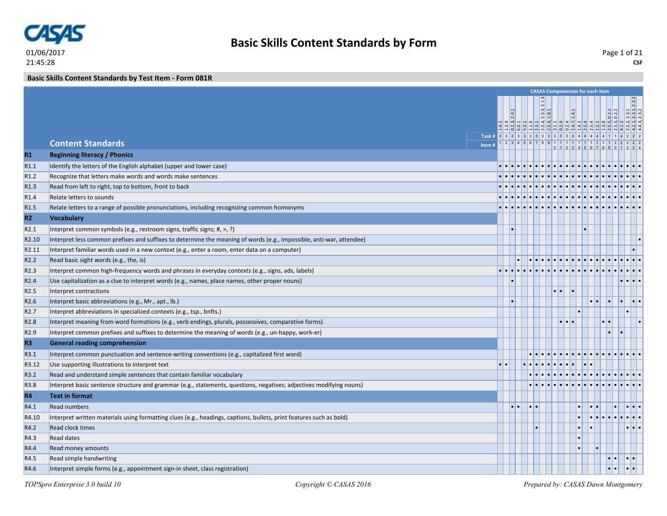

**Basic Skills Content Standards by Test Item - Form 081R**

|                   |                                                                                                                      |  |  |                       |                     |                                                   | <b>CASAS Competencies for each item</b>     |                     |                                         |  |
|-------------------|----------------------------------------------------------------------------------------------------------------------|--|--|-----------------------|---------------------|---------------------------------------------------|---------------------------------------------|---------------------|-----------------------------------------|--|
|                   |                                                                                                                      |  |  |                       |                     |                                                   |                                             |                     |                                         |  |
|                   |                                                                                                                      |  |  | $\frac{2.5.3}{1.8.1}$ |                     | $\overline{\phantom{1}}$ $\overline{\phantom{1}}$ |                                             | $\frac{0.2}{0.2.2}$ | 2, 2.3.1<br>1, 2.3.1, 2.3.2<br>3, 2.3.2 |  |
|                   |                                                                                                                      |  |  |                       |                     |                                                   |                                             |                     |                                         |  |
|                   | Task # 3 3 3 3 3 3 3 3 3 3 3 3 3 4 4 4 4 4                                                                           |  |  |                       |                     |                                                   |                                             |                     |                                         |  |
|                   | <b>Content Standards</b><br>Item#                                                                                    |  |  |                       |                     |                                                   | 1 2 3 4 5 6 7 8 9 1 1 1 1 1 1 1 1 1 1 1 1 2 |                     |                                         |  |
| R1                | <b>Beginning literacy / Phonics</b>                                                                                  |  |  |                       |                     |                                                   |                                             |                     |                                         |  |
| R1.1              | Identify the letters of the English alphabet (upper and lower case)                                                  |  |  |                       |                     |                                                   |                                             |                     |                                         |  |
| R1.2              | Recognize that letters make words and words make sentences                                                           |  |  |                       |                     |                                                   |                                             |                     |                                         |  |
| R1.3              | Read from left to right, top to bottom, front to back                                                                |  |  |                       |                     |                                                   |                                             |                     |                                         |  |
| R1.4              | Relate letters to sounds                                                                                             |  |  |                       |                     |                                                   |                                             |                     |                                         |  |
| R <sub>1.5</sub>  | Relate letters to a range of possible pronunciations, including recognizing common homonyms                          |  |  |                       |                     |                                                   |                                             |                     |                                         |  |
| R2                | <b>Vocabulary</b>                                                                                                    |  |  |                       |                     |                                                   |                                             |                     |                                         |  |
| R2.1              | Interpret common symbols (e.g., restroom signs, traffic signs; #, >, ?)                                              |  |  |                       |                     |                                                   |                                             |                     |                                         |  |
| R <sub>2.10</sub> | Interpret less common prefixes and suffixes to determine the meaning of words (e.g., impossible, anti-war, attendee) |  |  |                       |                     |                                                   |                                             |                     |                                         |  |
| R2.11             | Interpret familiar words used in a new context (e.g., enter a room, enter data on a computer)                        |  |  |                       |                     |                                                   |                                             |                     |                                         |  |
| R <sub>2.2</sub>  | Read basic sight words (e.g., the, is)                                                                               |  |  |                       |                     |                                                   |                                             |                     |                                         |  |
| R2.3              | Interpret common high-frequency words and phrases in everyday contexts (e.g., signs, ads, labels)                    |  |  |                       |                     |                                                   |                                             |                     |                                         |  |
| R <sub>2.4</sub>  | Use capitalization as a clue to interpret words (e.g., names, place names, other proper nouns)                       |  |  |                       |                     |                                                   |                                             |                     |                                         |  |
| R <sub>2.5</sub>  | Interpret contractions                                                                                               |  |  |                       |                     |                                                   |                                             |                     |                                         |  |
| R <sub>2.6</sub>  | Interpret basic abbreviations (e.g., Mr., apt., lb.)                                                                 |  |  |                       |                     |                                                   |                                             |                     |                                         |  |
| R <sub>2.7</sub>  | Interpret abbreviations in specialized contexts (e.g., tsp., bnfts.)                                                 |  |  |                       |                     |                                                   |                                             |                     |                                         |  |
| R <sub>2.8</sub>  | Interpret meaning from word formations (e.g., verb endings, plurals, possessives, comparative forms)                 |  |  |                       | $\cdot \cdot \cdot$ |                                                   |                                             |                     |                                         |  |
| R <sub>2.9</sub>  | Interpret common prefixes and suffixes to determine the meaning of words (e.g., un-happy, work-er)                   |  |  |                       |                     |                                                   |                                             |                     |                                         |  |
| R <sub>3</sub>    | <b>General reading comprehension</b>                                                                                 |  |  |                       |                     |                                                   |                                             |                     |                                         |  |
| R3.1              | Interpret common punctuation and sentence-writing conventions (e.g., capitalized first word)                         |  |  |                       |                     |                                                   |                                             |                     |                                         |  |
| R3.12             | Use supporting illustrations to interpret text                                                                       |  |  |                       |                     |                                                   |                                             |                     |                                         |  |
| R3.2              | Read and understand simple sentences that contain familiar vocabulary                                                |  |  |                       |                     |                                                   |                                             |                     |                                         |  |
| R3.8              | Interpret basic sentence structure and grammar (e.g., statements, questions, negatives; adjectives modifying nouns)  |  |  |                       |                     |                                                   |                                             |                     |                                         |  |
| <b>R4</b>         | <b>Text in format</b>                                                                                                |  |  |                       |                     |                                                   |                                             |                     |                                         |  |
| R4.1              | <b>Read numbers</b>                                                                                                  |  |  |                       |                     |                                                   |                                             |                     |                                         |  |
| R4.10             | Interpret written materials using formatting clues (e.g., headings, captions, bullets, print features such as bold)  |  |  |                       |                     |                                                   |                                             |                     |                                         |  |
| R4.2              | <b>Read clock times</b>                                                                                              |  |  |                       |                     |                                                   |                                             |                     |                                         |  |
| R4.3              | <b>Read dates</b>                                                                                                    |  |  |                       |                     |                                                   |                                             |                     |                                         |  |
| R4.4              | Read money amounts                                                                                                   |  |  |                       |                     |                                                   |                                             |                     |                                         |  |
| R4.5              | Read simple handwriting                                                                                              |  |  |                       |                     |                                                   |                                             |                     | $ \bullet \bullet $                     |  |
| R4.6              | Interpret simple forms (e.g., appointment sign-in sheet, class registration)                                         |  |  |                       |                     |                                                   |                                             |                     |                                         |  |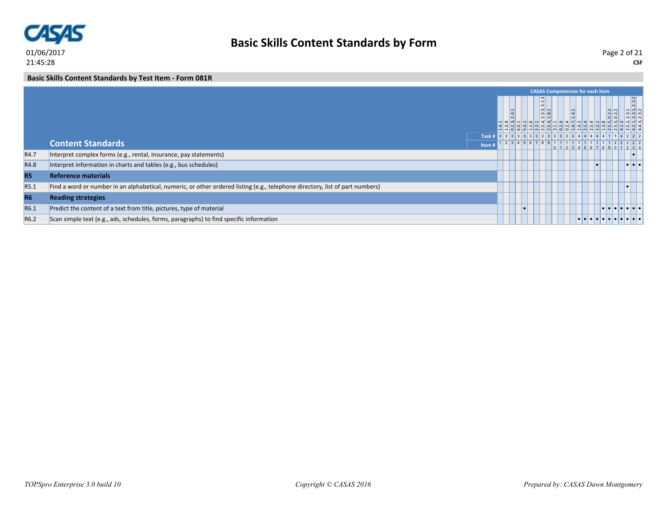

**CSF** Page 2 of 21

#### **Basic Skills Content Standards by Test Item - Form 081R**

|                  |                                                                                                                               |        |  | <b>CASAS Competencies for each item</b>                |  |  |       |                                 |       |
|------------------|-------------------------------------------------------------------------------------------------------------------------------|--------|--|--------------------------------------------------------|--|--|-------|---------------------------------|-------|
|                  |                                                                                                                               |        |  | $\frac{1}{3}$<br>$ \vec{m} $ –<br>lun od<br>$\sqrt{2}$ |  |  | 0.2.2 |                                 | 2.3.2 |
|                  |                                                                                                                               |        |  |                                                        |  |  |       |                                 |       |
|                  |                                                                                                                               | Task # |  |                                                        |  |  |       |                                 |       |
|                  | <b>Content Standards</b>                                                                                                      | Item   |  |                                                        |  |  |       |                                 |       |
| R4.7             | Interpret complex forms (e.g., rental, insurance, pay statements)                                                             |        |  |                                                        |  |  |       |                                 |       |
| R4.8             | Interpret information in charts and tables (e.g., bus schedules)                                                              |        |  |                                                        |  |  |       | $  \bullet   \bullet   \bullet$ |       |
| <b>R5</b>        | <b>Reference materials</b>                                                                                                    |        |  |                                                        |  |  |       |                                 |       |
| R5.1             | Find a word or number in an alphabetical, numeric, or other ordered listing (e.g., telephone directory, list of part numbers) |        |  |                                                        |  |  |       |                                 |       |
| <b>R6</b>        | <b>Reading strategies</b>                                                                                                     |        |  |                                                        |  |  |       |                                 |       |
| R6.1             | Predict the content of a text from title, pictures, type of material                                                          |        |  |                                                        |  |  |       | .                               |       |
| R <sub>6.2</sub> | Scan simple text (e.g., ads, schedules, forms, paragraphs) to find specific information                                       |        |  |                                                        |  |  |       | .                               |       |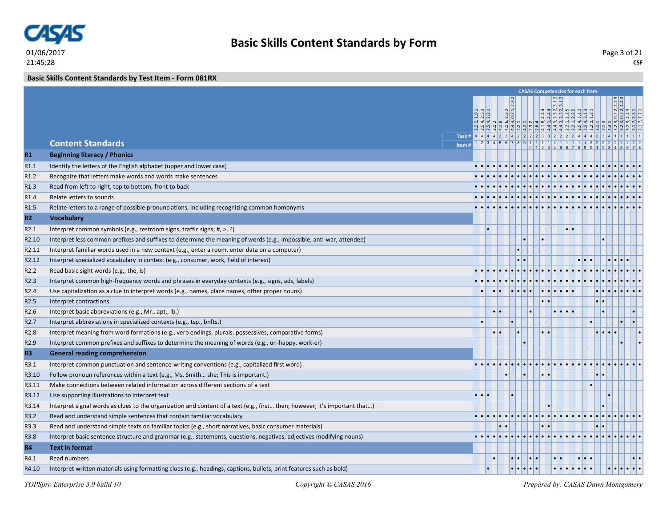

**Basic Skills Content Standards by Test Item - Form 081RX**

|                   |                                                                                                                            |  |                       |                                   |               | <b>CASAS Competencies for each item</b> |  |  |  |
|-------------------|----------------------------------------------------------------------------------------------------------------------------|--|-----------------------|-----------------------------------|---------------|-----------------------------------------|--|--|--|
|                   |                                                                                                                            |  |                       |                                   |               |                                         |  |  |  |
|                   |                                                                                                                            |  | $\frac{2.3.2}{0.2.1}$ |                                   |               |                                         |  |  |  |
|                   |                                                                                                                            |  | ∞   ပြဲ   ကဲ          |                                   |               |                                         |  |  |  |
|                   | Task # 4 4 4 4 3 3 4 2 2 2 3 3 2 2 2 4 4 4                                                                                 |  |                       |                                   |               |                                         |  |  |  |
|                   | <b>Content Standards</b><br>Item#                                                                                          |  |                       |                                   |               |                                         |  |  |  |
| R1                | <b>Beginning literacy / Phonics</b>                                                                                        |  |                       |                                   |               |                                         |  |  |  |
| R1.1              | Identify the letters of the English alphabet (upper and lower case)                                                        |  |                       |                                   |               |                                         |  |  |  |
| R1.2              | Recognize that letters make words and words make sentences                                                                 |  |                       |                                   |               |                                         |  |  |  |
| R1.3              | Read from left to right, top to bottom, front to back                                                                      |  |                       |                                   |               |                                         |  |  |  |
| R1.4              | Relate letters to sounds                                                                                                   |  |                       |                                   |               |                                         |  |  |  |
| R <sub>1.5</sub>  | Relate letters to a range of possible pronunciations, including recognizing common homonyms                                |  |                       |                                   |               |                                         |  |  |  |
| R2                | <b>Vocabulary</b>                                                                                                          |  |                       |                                   |               |                                         |  |  |  |
| R2.1              | Interpret common symbols (e.g., restroom signs, traffic signs; #, >, ?)                                                    |  |                       |                                   |               | $\cdot \cdot$                           |  |  |  |
| R <sub>2.10</sub> | Interpret less common prefixes and suffixes to determine the meaning of words (e.g., impossible, anti-war, attendee)       |  |                       |                                   |               |                                         |  |  |  |
| R <sub>2.11</sub> | Interpret familiar words used in a new context (e.g., enter a room, enter data on a computer)                              |  |                       |                                   |               |                                         |  |  |  |
| R <sub>2.12</sub> | Interpret specialized vocabulary in context (e.g., consumer, work, field of interest)                                      |  |                       |                                   |               |                                         |  |  |  |
| R <sub>2.2</sub>  | Read basic sight words (e.g., the, is)                                                                                     |  |                       |                                   |               |                                         |  |  |  |
| R <sub>2.3</sub>  | Interpret common high-frequency words and phrases in everyday contexts (e.g., signs, ads, labels)                          |  |                       |                                   |               |                                         |  |  |  |
| R <sub>2.4</sub>  | Use capitalization as a clue to interpret words (e.g., names, place names, other proper nouns)                             |  |                       | $  \bullet   \bullet   \bullet  $ |               |                                         |  |  |  |
| R <sub>2.5</sub>  | Interpret contractions                                                                                                     |  |                       |                                   |               |                                         |  |  |  |
| R2.6              | Interpret basic abbreviations (e.g., Mr., apt., lb.)                                                                       |  |                       |                                   |               |                                         |  |  |  |
| R <sub>2.7</sub>  | Interpret abbreviations in specialized contexts (e.g., tsp., bnfts.)                                                       |  |                       |                                   |               |                                         |  |  |  |
| R <sub>2.8</sub>  | Interpret meaning from word formations (e.g., verb endings, plurals, possessives, comparative forms)                       |  |                       |                                   |               |                                         |  |  |  |
| R <sub>2.9</sub>  | Interpret common prefixes and suffixes to determine the meaning of words (e.g., un-happy, work-er)                         |  |                       |                                   |               |                                         |  |  |  |
| R3                | <b>General reading comprehension</b>                                                                                       |  |                       |                                   |               |                                         |  |  |  |
| R3.1              | Interpret common punctuation and sentence-writing conventions (e.g., capitalized first word)                               |  |                       |                                   |               |                                         |  |  |  |
| R3.10             | Follow pronoun references within a text (e.g., Ms. Smith she; This is important.)                                          |  |                       |                                   | $\cdot \cdot$ |                                         |  |  |  |
| R3.11             | Make connections between related information across different sections of a text                                           |  |                       |                                   |               |                                         |  |  |  |
| R3.12             | Use supporting illustrations to interpret text                                                                             |  |                       |                                   |               |                                         |  |  |  |
| R3.14             | Interpret signal words as clues to the organization and content of a text (e.g., first then; however; it's important that) |  |                       |                                   |               |                                         |  |  |  |
| R3.2              | Read and understand simple sentences that contain familiar vocabulary                                                      |  |                       |                                   |               |                                         |  |  |  |
| R3.3              | Read and understand simple texts on familiar topics (e.g., short narratives, basic consumer materials)                     |  |                       |                                   |               |                                         |  |  |  |
| R3.8              | Interpret basic sentence structure and grammar (e.g., statements, questions, negatives; adjectives modifying nouns)        |  |                       |                                   |               |                                         |  |  |  |
| <b>R4</b>         | <b>Text in format</b>                                                                                                      |  |                       |                                   |               |                                         |  |  |  |
| R4.1              | <b>Read numbers</b>                                                                                                        |  |                       |                                   |               |                                         |  |  |  |
| R4.10             | Interpret written materials using formatting clues (e.g., headings, captions, bullets, print features such as bold)        |  |                       |                                   |               |                                         |  |  |  |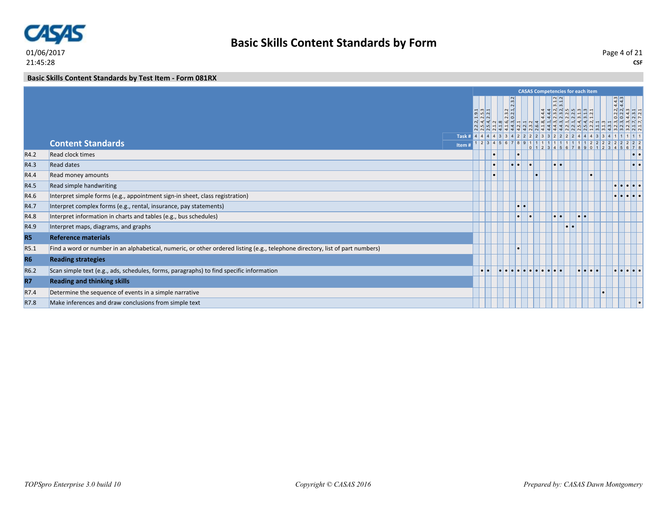

**CSF** Page 4 of 21

**Basic Skills Content Standards by Test Item - Form 081RX**

|                |                                                                                                                               |                                                               |                  |                                                                                                                                                                           |                  |  |                           |           | <b>CASAS Competencies for each item</b>                      |                    |                                                     |                         |
|----------------|-------------------------------------------------------------------------------------------------------------------------------|---------------------------------------------------------------|------------------|---------------------------------------------------------------------------------------------------------------------------------------------------------------------------|------------------|--|---------------------------|-----------|--------------------------------------------------------------|--------------------|-----------------------------------------------------|-------------------------|
|                |                                                                                                                               |                                                               |                  | $\begin{array}{c c}\n\ddots & 2 & 2 & 1 \\ \hline\n4 & 2 & 3 & 2 \\ \hline\n0 & 0 & 2 & 3 & 2 \\ \hline\n0 & 0 & 2 & 1 & 1 \\ \hline\n1 & 1 & 0 & 4 & 4 & 4\n\end{array}$ |                  |  | $\frac{1}{2}$<br>$m \sim$ |           | $444\n-232\n-232\n-244\n-232\n-244\n-252\n-252\n-262\n-2723$ | $4.4.3$<br>$4.4.3$ |                                                     |                         |
|                |                                                                                                                               |                                                               |                  |                                                                                                                                                                           |                  |  |                           |           |                                                              |                    |                                                     |                         |
|                | <b>Content Standards</b>                                                                                                      | Task # 4 4 4 4 3 3 4 2 2 2 3 3 2 2 2 2 4 4 4 3 3 4 1<br>Item# |                  |                                                                                                                                                                           |                  |  |                           |           |                                                              |                    | 5 6 7 8                                             |                         |
| R4.2           | Read clock times                                                                                                              |                                                               |                  |                                                                                                                                                                           |                  |  |                           |           |                                                              |                    |                                                     | $  \bullet   \bullet  $ |
| R4.3           | <b>Read dates</b>                                                                                                             |                                                               |                  |                                                                                                                                                                           | $\cdot$ $\cdot$  |  | $\bullet\bullet$          |           |                                                              |                    |                                                     | $  \cdot   \cdot  $     |
| R4.4           | Read money amounts                                                                                                            |                                                               |                  |                                                                                                                                                                           |                  |  |                           |           |                                                              |                    |                                                     |                         |
| R4.5           | Read simple handwriting                                                                                                       |                                                               |                  |                                                                                                                                                                           |                  |  |                           |           |                                                              |                    | $  \bullet   \bullet   \bullet   \bullet  $         |                         |
| R4.6           | Interpret simple forms (e.g., appointment sign-in sheet, class registration)                                                  |                                                               |                  |                                                                                                                                                                           |                  |  |                           |           |                                                              |                    | $  \bullet   \bullet   \bullet   \bullet  $         |                         |
| R4.7           | Interpret complex forms (e.g., rental, insurance, pay statements)                                                             |                                                               |                  |                                                                                                                                                                           | $\bullet\bullet$ |  |                           |           |                                                              |                    |                                                     |                         |
| R4.8           | Interpret information in charts and tables (e.g., bus schedules)                                                              |                                                               |                  |                                                                                                                                                                           | $\bullet$        |  | $  \bullet   \bullet  $   |           | $\bullet\bullet$                                             |                    |                                                     |                         |
| R4.9           | Interpret maps, diagrams, and graphs                                                                                          |                                                               |                  |                                                                                                                                                                           |                  |  |                           | $\bullet$ |                                                              |                    |                                                     |                         |
| <b>R5</b>      | <b>Reference materials</b>                                                                                                    |                                                               |                  |                                                                                                                                                                           |                  |  |                           |           |                                                              |                    |                                                     |                         |
| R5.1           | Find a word or number in an alphabetical, numeric, or other ordered listing (e.g., telephone directory, list of part numbers) |                                                               |                  |                                                                                                                                                                           |                  |  |                           |           |                                                              |                    |                                                     |                         |
| R <sub>6</sub> | <b>Reading strategies</b>                                                                                                     |                                                               |                  |                                                                                                                                                                           |                  |  |                           |           |                                                              |                    |                                                     |                         |
| R6.2           | Scan simple text (e.g., ads, schedules, forms, paragraphs) to find specific information                                       |                                                               | $\bullet\bullet$ | <u>a la la la la la la la la la</u>                                                                                                                                       |                  |  |                           |           | $\bullet\bullet\bullet\bullet$                               |                    | $  \bullet   \bullet   \bullet   \bullet   \bullet$ |                         |
| <b>R7</b>      | <b>Reading and thinking skills</b>                                                                                            |                                                               |                  |                                                                                                                                                                           |                  |  |                           |           |                                                              |                    |                                                     |                         |
| R7.4           | Determine the sequence of events in a simple narrative                                                                        |                                                               |                  |                                                                                                                                                                           |                  |  |                           |           |                                                              |                    |                                                     |                         |
| R7.8           | Make inferences and draw conclusions from simple text                                                                         |                                                               |                  |                                                                                                                                                                           |                  |  |                           |           |                                                              |                    |                                                     |                         |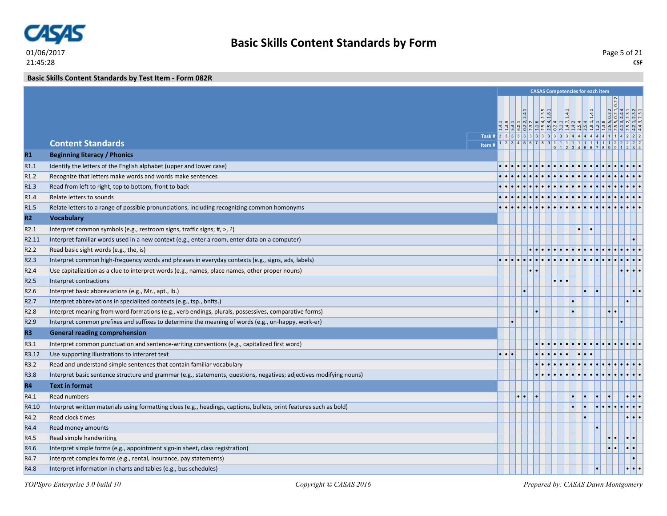

**Basic Skills Content Standards by Test Item - Form 082R**

|                  |                                                                                                                     |   |  |                  |                       | <b>CASAS Competencies for each item</b> |                     |                                                                                                                                             |       |                       |                     |
|------------------|---------------------------------------------------------------------------------------------------------------------|---|--|------------------|-----------------------|-----------------------------------------|---------------------|---------------------------------------------------------------------------------------------------------------------------------------------|-------|-----------------------|---------------------|
|                  |                                                                                                                     |   |  |                  | $\frac{2.5.5}{1.8.1}$ |                                         | $\frac{14.1}{14.1}$ | $\frac{1}{2}$ $\frac{1}{2}$ $\frac{1}{2}$ $\frac{1}{2}$ $\frac{1}{2}$ $\frac{1}{2}$ $\frac{1}{2}$ $\frac{1}{2}$ $\frac{1}{2}$ $\frac{1}{2}$ | 1.4.1 |                       |                     |
|                  | Task # 3 3 3 3 3 3 3 3 3 3 3 3 4 4 4 4 4 4                                                                          |   |  |                  |                       |                                         |                     |                                                                                                                                             |       |                       |                     |
|                  | <b>Content Standards</b><br>Item#                                                                                   |   |  |                  |                       | 1 2 3 4 5 6 7 8 9 1 1 1 1 1 1 1 1       |                     |                                                                                                                                             |       |                       |                     |
| $R1$             | <b>Beginning literacy / Phonics</b>                                                                                 |   |  |                  |                       |                                         |                     |                                                                                                                                             |       |                       |                     |
| R1.1             | Identify the letters of the English alphabet (upper and lower case)                                                 |   |  |                  |                       |                                         |                     |                                                                                                                                             |       |                       |                     |
| R <sub>1.2</sub> | Recognize that letters make words and words make sentences                                                          |   |  |                  |                       |                                         |                     |                                                                                                                                             |       |                       |                     |
| R1.3             | Read from left to right, top to bottom, front to back                                                               |   |  |                  |                       |                                         |                     |                                                                                                                                             |       |                       |                     |
| R <sub>1.4</sub> | Relate letters to sounds                                                                                            |   |  |                  |                       |                                         |                     |                                                                                                                                             |       |                       |                     |
| R <sub>1.5</sub> | Relate letters to a range of possible pronunciations, including recognizing common homonyms                         |   |  |                  |                       |                                         |                     |                                                                                                                                             |       |                       |                     |
| R2               | <b>Vocabulary</b>                                                                                                   |   |  |                  |                       |                                         |                     |                                                                                                                                             |       |                       |                     |
| R2.1             | Interpret common symbols (e.g., restroom signs, traffic signs; #, >, ?)                                             |   |  |                  |                       |                                         |                     |                                                                                                                                             |       |                       |                     |
| R2.11            | Interpret familiar words used in a new context (e.g., enter a room, enter data on a computer)                       |   |  |                  |                       |                                         |                     |                                                                                                                                             |       |                       |                     |
| R <sub>2.2</sub> | Read basic sight words (e.g., the, is)                                                                              |   |  |                  |                       |                                         |                     |                                                                                                                                             |       |                       |                     |
| R2.3             | Interpret common high-frequency words and phrases in everyday contexts (e.g., signs, ads, labels)                   |   |  |                  |                       |                                         |                     |                                                                                                                                             |       |                       |                     |
| R <sub>2.4</sub> | Use capitalization as a clue to interpret words (e.g., names, place names, other proper nouns)                      |   |  | $\bullet\bullet$ |                       |                                         |                     |                                                                                                                                             |       |                       |                     |
| R <sub>2.5</sub> | Interpret contractions                                                                                              |   |  |                  |                       | $\cdot \cdot \cdot$                     |                     |                                                                                                                                             |       |                       |                     |
| R <sub>2.6</sub> | Interpret basic abbreviations (e.g., Mr., apt., lb.)                                                                |   |  |                  |                       |                                         |                     |                                                                                                                                             |       |                       |                     |
| R <sub>2.7</sub> | Interpret abbreviations in specialized contexts (e.g., tsp., bnfts.)                                                |   |  |                  |                       |                                         | $\bullet$           |                                                                                                                                             |       |                       |                     |
| R <sub>2.8</sub> | Interpret meaning from word formations (e.g., verb endings, plurals, possessives, comparative forms)                |   |  |                  |                       |                                         | $\bullet$           |                                                                                                                                             |       | $  \bullet   \bullet$ |                     |
| R <sub>2.9</sub> | Interpret common prefixes and suffixes to determine the meaning of words (e.g., un-happy, work-er)                  |   |  |                  |                       |                                         |                     |                                                                                                                                             |       |                       |                     |
| R <sub>3</sub>   | <b>General reading comprehension</b>                                                                                |   |  |                  |                       |                                         |                     |                                                                                                                                             |       |                       |                     |
| R3.1             | Interpret common punctuation and sentence-writing conventions (e.g., capitalized first word)                        |   |  |                  |                       |                                         |                     |                                                                                                                                             |       |                       |                     |
| R3.12            | Use supporting illustrations to interpret text                                                                      | . |  |                  |                       |                                         |                     |                                                                                                                                             |       |                       |                     |
| R3.2             | Read and understand simple sentences that contain familiar vocabulary                                               |   |  |                  |                       |                                         |                     |                                                                                                                                             |       |                       |                     |
| R3.8             | Interpret basic sentence structure and grammar (e.g., statements, questions, negatives; adjectives modifying nouns) |   |  |                  |                       |                                         |                     |                                                                                                                                             |       |                       |                     |
| <b>R4</b>        | <b>Text in format</b>                                                                                               |   |  |                  |                       |                                         |                     |                                                                                                                                             |       |                       |                     |
| R4.1             | <b>Read numbers</b>                                                                                                 |   |  |                  |                       |                                         |                     |                                                                                                                                             |       |                       |                     |
| R4.10            | Interpret written materials using formatting clues (e.g., headings, captions, bullets, print features such as bold) |   |  |                  |                       |                                         |                     |                                                                                                                                             |       |                       |                     |
| R4.2             | <b>Read clock times</b>                                                                                             |   |  |                  |                       |                                         |                     |                                                                                                                                             |       |                       |                     |
| R4.4             | Read money amounts                                                                                                  |   |  |                  |                       |                                         |                     |                                                                                                                                             |       |                       |                     |
| R4.5             | Read simple handwriting                                                                                             |   |  |                  |                       |                                         |                     |                                                                                                                                             |       | $\bullet\bullet$      | $  \cdot   \cdot  $ |
| R4.6             | Interpret simple forms (e.g., appointment sign-in sheet, class registration)                                        |   |  |                  |                       |                                         |                     |                                                                                                                                             |       |                       | $ \cdot $ .         |
| R4.7             | Interpret complex forms (e.g., rental, insurance, pay statements)                                                   |   |  |                  |                       |                                         |                     |                                                                                                                                             |       |                       |                     |
| R4.8             | Interpret information in charts and tables (e.g., bus schedules)                                                    |   |  |                  |                       |                                         |                     |                                                                                                                                             |       |                       |                     |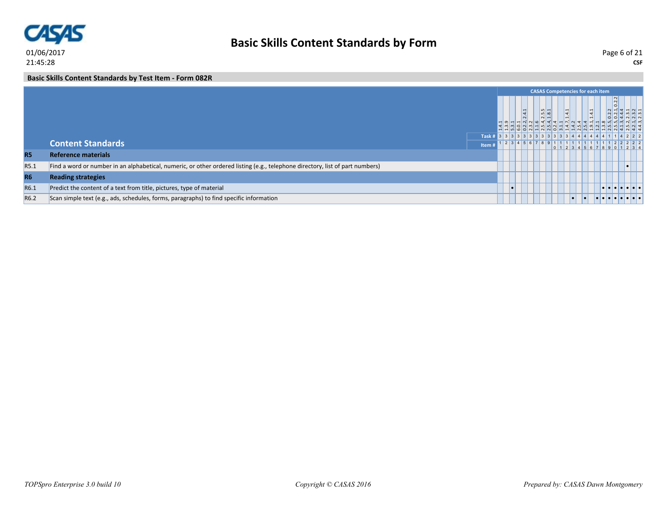

**Basic Skills Content Standards by Test Item - Form 082R**

|                  |                                                                                                                               |        |  |      | <b>CASAS Competencies for each item</b>             |            |  |                 |               |       |  |
|------------------|-------------------------------------------------------------------------------------------------------------------------------|--------|--|------|-----------------------------------------------------|------------|--|-----------------|---------------|-------|--|
|                  |                                                                                                                               |        |  | fall | $m -$<br>l un l ∞i                                  | $\ddot{ }$ |  |                 | $\frac{2}{2}$ |       |  |
|                  |                                                                                                                               | Task # |  |      | 3 3 3 3 3 3 3 3 3 3 3 3 3 3 3 3                     |            |  |                 |               | 14222 |  |
|                  | <b>Content Standards</b>                                                                                                      | Item   |  |      | 1 2 3 4 5 6 7 8 9 1 1 1 1 1 1 1 1 1 1 1 2 2 2 2 2 2 |            |  | 012345678901234 |               |       |  |
| <b>R5</b>        | <b>Reference materials</b>                                                                                                    |        |  |      |                                                     |            |  |                 |               |       |  |
| R5.1             | Find a word or number in an alphabetical, numeric, or other ordered listing (e.g., telephone directory, list of part numbers) |        |  |      |                                                     |            |  |                 |               |       |  |
| <b>R6</b>        | <b>Reading strategies</b>                                                                                                     |        |  |      |                                                     |            |  |                 |               |       |  |
| R6.1             | Predict the content of a text from title, pictures, type of material                                                          |        |  |      |                                                     |            |  |                 |               | .     |  |
| R <sub>6.2</sub> | Scan simple text (e.g., ads, schedules, forms, paragraphs) to find specific information                                       |        |  |      |                                                     | $\bullet$  |  |                 |               |       |  |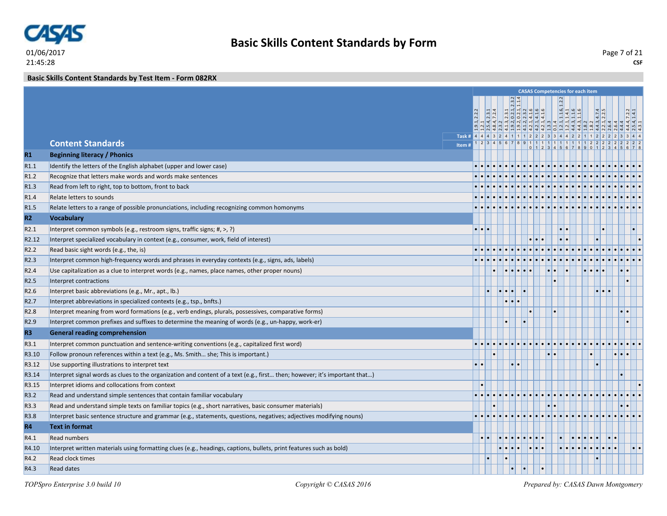

**Basic Skills Content Standards by Test Item - Form 082RX**

|                   |                                                                                                                            |                         |  |                       |  |           |  | <b>CASAS Competencies for each item</b>                                             |                                 |               |  |
|-------------------|----------------------------------------------------------------------------------------------------------------------------|-------------------------|--|-----------------------|--|-----------|--|-------------------------------------------------------------------------------------|---------------------------------|---------------|--|
|                   |                                                                                                                            |                         |  |                       |  |           |  |                                                                                     |                                 |               |  |
|                   |                                                                                                                            |                         |  |                       |  |           |  |                                                                                     |                                 |               |  |
|                   |                                                                                                                            |                         |  |                       |  |           |  |                                                                                     |                                 |               |  |
|                   | Task # 4 4 4 3 2 4 1 1 1 2 2 2 3 3 4 4 2 2 1 1                                                                             |                         |  |                       |  |           |  |                                                                                     |                                 |               |  |
|                   | <b>Content Standards</b><br>Item#                                                                                          |                         |  |                       |  |           |  | $1 \ 2 \ 3 \ 4 \ 5 \ 6 \ 7 \ 8 \ 9 \ 1 \ 1 \ 1 \ 1 \ 1 \ 1 \ 1 \ 1 \ 1 \ 1 \ 1 \ 2$ |                                 |               |  |
| R1                | <b>Beginning literacy / Phonics</b>                                                                                        |                         |  |                       |  |           |  |                                                                                     |                                 |               |  |
| R1.1              | Identify the letters of the English alphabet (upper and lower case)                                                        |                         |  |                       |  |           |  |                                                                                     |                                 |               |  |
| R <sub>1.2</sub>  | Recognize that letters make words and words make sentences                                                                 |                         |  |                       |  |           |  |                                                                                     |                                 |               |  |
| R1.3              | Read from left to right, top to bottom, front to back                                                                      |                         |  |                       |  |           |  |                                                                                     |                                 |               |  |
| R <sub>1.4</sub>  | Relate letters to sounds                                                                                                   |                         |  |                       |  |           |  |                                                                                     |                                 |               |  |
| R <sub>1.5</sub>  | Relate letters to a range of possible pronunciations, including recognizing common homonyms                                |                         |  |                       |  |           |  |                                                                                     |                                 |               |  |
| R2                | <b>Vocabulary</b>                                                                                                          |                         |  |                       |  |           |  |                                                                                     |                                 |               |  |
| R <sub>2.1</sub>  | Interpret common symbols (e.g., restroom signs, traffic signs; #, >, ?)                                                    | $\cdot$ $\cdot$ $\cdot$ |  |                       |  |           |  |                                                                                     |                                 |               |  |
| R <sub>2.12</sub> | Interpret specialized vocabulary in context (e.g., consumer, work, field of interest)                                      |                         |  |                       |  |           |  |                                                                                     |                                 |               |  |
| R <sub>2.2</sub>  | Read basic sight words (e.g., the, is)                                                                                     |                         |  |                       |  |           |  |                                                                                     |                                 |               |  |
| R <sub>2.3</sub>  | Interpret common high-frequency words and phrases in everyday contexts (e.g., signs, ads, labels)                          |                         |  |                       |  |           |  |                                                                                     |                                 |               |  |
| R <sub>2.4</sub>  | Use capitalization as a clue to interpret words (e.g., names, place names, other proper nouns)                             |                         |  |                       |  |           |  |                                                                                     |                                 |               |  |
| R <sub>2.5</sub>  | Interpret contractions                                                                                                     |                         |  |                       |  |           |  |                                                                                     |                                 |               |  |
| R <sub>2.6</sub>  | Interpret basic abbreviations (e.g., Mr., apt., lb.)                                                                       |                         |  |                       |  |           |  |                                                                                     | $  \bullet   \bullet   \bullet$ |               |  |
| R <sub>2.7</sub>  | Interpret abbreviations in specialized contexts (e.g., tsp., bnfts.)                                                       |                         |  | $  \bullet   \bullet$ |  |           |  |                                                                                     |                                 |               |  |
| R <sub>2.8</sub>  | Interpret meaning from word formations (e.g., verb endings, plurals, possessives, comparative forms)                       |                         |  |                       |  |           |  |                                                                                     |                                 | $\cdot \cdot$ |  |
| R <sub>2.9</sub>  | Interpret common prefixes and suffixes to determine the meaning of words (e.g., un-happy, work-er)                         |                         |  |                       |  |           |  |                                                                                     |                                 |               |  |
| R <sub>3</sub>    | <b>General reading comprehension</b>                                                                                       |                         |  |                       |  |           |  |                                                                                     |                                 |               |  |
| R3.1              | Interpret common punctuation and sentence-writing conventions (e.g., capitalized first word)                               |                         |  |                       |  |           |  |                                                                                     |                                 |               |  |
| R3.10             | Follow pronoun references within a text (e.g., Ms. Smith she; This is important.)                                          |                         |  |                       |  |           |  |                                                                                     |                                 |               |  |
| R3.12             | Use supporting illustrations to interpret text                                                                             |                         |  |                       |  |           |  |                                                                                     |                                 |               |  |
| R3.14             | Interpret signal words as clues to the organization and content of a text (e.g., first then; however; it's important that) |                         |  |                       |  |           |  |                                                                                     |                                 |               |  |
| R3.15             | Interpret idioms and collocations from context                                                                             |                         |  |                       |  |           |  |                                                                                     |                                 |               |  |
| R3.2              | Read and understand simple sentences that contain familiar vocabulary                                                      |                         |  |                       |  |           |  |                                                                                     |                                 |               |  |
| R3.3              | Read and understand simple texts on familiar topics (e.g., short narratives, basic consumer materials)                     |                         |  |                       |  |           |  |                                                                                     |                                 |               |  |
| R3.8              | Interpret basic sentence structure and grammar (e.g., statements, questions, negatives; adjectives modifying nouns)        |                         |  |                       |  |           |  |                                                                                     |                                 |               |  |
| <b>R4</b>         | <b>Text in format</b>                                                                                                      |                         |  |                       |  |           |  |                                                                                     |                                 |               |  |
| R4.1              | <b>Read numbers</b>                                                                                                        |                         |  |                       |  |           |  |                                                                                     |                                 |               |  |
| R4.10             | Interpret written materials using formatting clues (e.g., headings, captions, bullets, print features such as bold)        |                         |  |                       |  |           |  |                                                                                     |                                 |               |  |
| R4.2              | <b>Read clock times</b>                                                                                                    |                         |  |                       |  |           |  |                                                                                     |                                 |               |  |
| R4.3              | <b>Read dates</b>                                                                                                          |                         |  |                       |  | $\bullet$ |  |                                                                                     |                                 |               |  |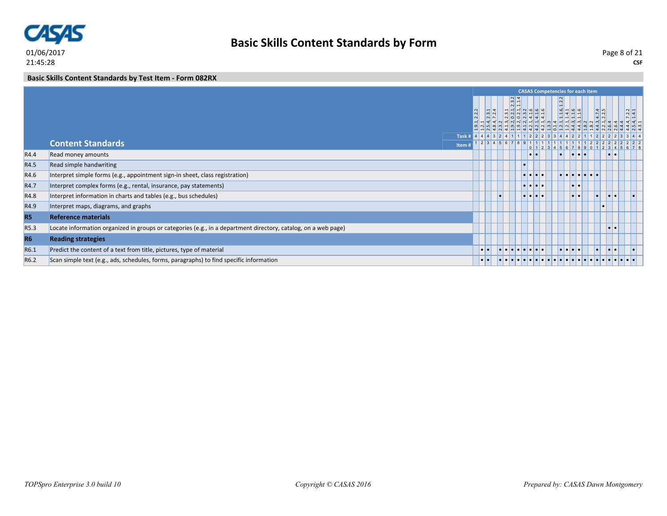

**Basic Skills Content Standards by Test Item - Form 082RX**

|                  |                                                                                                                |                  |               |                                   |                                 |  | <b>CASAS Competencies for each item</b>     |                         |                             |                         |                                                                              |
|------------------|----------------------------------------------------------------------------------------------------------------|------------------|---------------|-----------------------------------|---------------------------------|--|---------------------------------------------|-------------------------|-----------------------------|-------------------------|------------------------------------------------------------------------------|
|                  |                                                                                                                |                  | $\frac{3}{2}$ | $\frac{23}{11}$<br><u> 일어있습니다</u> | $ N $ $\circ$ $  \circ   \circ$ |  | $\frac{11.6}{11.1}$                         |                         | $4.7.\overline{4}$<br>2.2.5 |                         | $\frac{7.2.2}{1.4.1}$<br>a a 4 4 4 4 4 5 3 4 4 4 4 4 4 4 7 9 9 4 7 8 4 4 9 4 |
|                  | Task#                                                                                                          |                  |               |                                   |                                 |  |                                             |                         |                             |                         | 444324112223344221122223344                                                  |
|                  | <b>Content Standards</b><br>Item#                                                                              |                  |               | $12$ 3 4 5 6 7 8 9 1              |                                 |  |                                             |                         |                             |                         | 5678                                                                         |
| R4.4             | Read money amounts                                                                                             |                  |               |                                   | $  \bullet   \bullet$           |  |                                             |                         |                             | . .                     |                                                                              |
| R4.5             | Read simple handwriting                                                                                        |                  |               |                                   |                                 |  |                                             |                         |                             |                         |                                                                              |
| R4.6             | Interpret simple forms (e.g., appointment sign-in sheet, class registration)                                   |                  |               |                                   |                                 |  |                                             |                         |                             |                         |                                                                              |
| R4.7             | Interpret complex forms (e.g., rental, insurance, pay statements)                                              |                  |               |                                   | .                               |  |                                             | $  \bullet   \bullet$   |                             |                         |                                                                              |
| R4.8             | Interpret information in charts and tables (e.g., bus schedules)                                               |                  |               |                                   | .                               |  |                                             | $  \bullet   \bullet  $ | I • I                       | $  \bullet   \bullet$   |                                                                              |
| R4.9             | Interpret maps, diagrams, and graphs                                                                           |                  |               |                                   |                                 |  |                                             |                         |                             |                         |                                                                              |
| <b>R5</b>        | <b>Reference materials</b>                                                                                     |                  |               |                                   |                                 |  |                                             |                         |                             |                         |                                                                              |
| R5.3             | Locate information organized in groups or categories (e.g., in a department directory, catalog, on a web page) |                  |               |                                   |                                 |  |                                             |                         |                             | $  \bullet   \bullet  $ |                                                                              |
| <b>R6</b>        | <b>Reading strategies</b>                                                                                      |                  |               |                                   |                                 |  |                                             |                         |                             |                         |                                                                              |
| R6.1             | Predict the content of a text from title, pictures, type of material                                           |                  |               | <u>le le le le le le le</u>       |                                 |  | $  \bullet   \bullet   \bullet   \bullet  $ |                         | l o l                       | $  \bullet   \bullet$   |                                                                              |
| R <sub>6.2</sub> | Scan simple text (e.g., ads, schedules, forms, paragraphs) to find specific information                        | $\bullet\bullet$ |               |                                   |                                 |  |                                             |                         |                             |                         |                                                                              |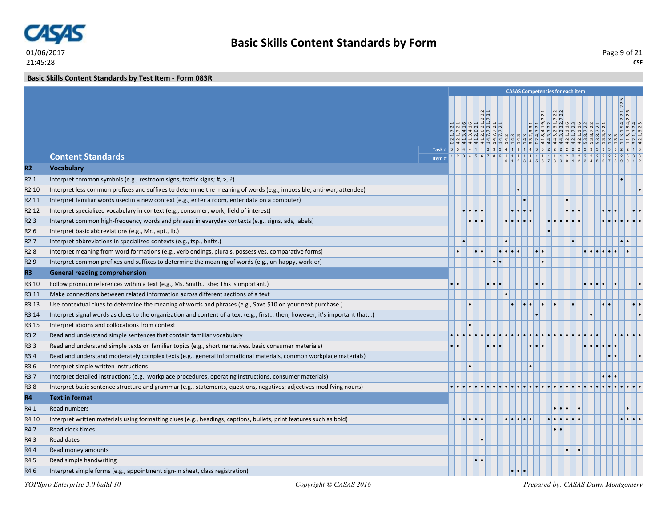

21:45:28

# **Basic Skills Content Standards by Form**

**CSF** Page 9 of 21

**Basic Skills Content Standards by Test Item - Form 083R**

|                                       |                                                                                                                                                                                                                       |                                                                        |                         |                       |  |                     |           |                         | <b>CASAS Competencies for each item</b> |                                                                                                                                                                                                                                                                                                     |  |                       |                       |
|---------------------------------------|-----------------------------------------------------------------------------------------------------------------------------------------------------------------------------------------------------------------------|------------------------------------------------------------------------|-------------------------|-----------------------|--|---------------------|-----------|-------------------------|-----------------------------------------|-----------------------------------------------------------------------------------------------------------------------------------------------------------------------------------------------------------------------------------------------------------------------------------------------------|--|-----------------------|-----------------------|
|                                       |                                                                                                                                                                                                                       |                                                                        |                         |                       |  |                     |           |                         |                                         |                                                                                                                                                                                                                                                                                                     |  |                       |                       |
|                                       |                                                                                                                                                                                                                       |                                                                        |                         | $\frac{2.3.2}{7.3.1}$ |  |                     |           |                         |                                         |                                                                                                                                                                                                                                                                                                     |  | 2.2.1, 2.2.5          |                       |
|                                       |                                                                                                                                                                                                                       |                                                                        |                         |                       |  |                     |           |                         |                                         | $\begin{array}{c} 3.3.1 \\ 7.2.1 \\ 7.2.2 \\ 7.2.2 \\ 7.2.2 \\ 7.2.3 \\ 7.2.3 \\ 1.1.6 \\ 7.2.3 \\ 7.2.2 \\ 7.2.2 \\ 7.2.2 \\ 7.2.2 \\ 7.2.2 \\ 7.2.2 \\ 7.2.2 \\ 7.2.2 \\ 7.2.2 \\ 7.2.2 \\ 7.2.2 \\ 7.2.2 \\ 7.2.2 \\ 7.2.2 \\ 7.2.2 \\ 7.2.2 \\ 7.2.2 \\ 7.2.2 \\ 7.2.2 \\ 7.2.2 \\ 7.2.2 \\ 7.$ |  |                       |                       |
|                                       |                                                                                                                                                                                                                       |                                                                        |                         |                       |  |                     |           |                         |                                         |                                                                                                                                                                                                                                                                                                     |  | $\frac{1.9.4}{1.9.4}$ |                       |
|                                       |                                                                                                                                                                                                                       |                                                                        |                         |                       |  |                     |           |                         |                                         |                                                                                                                                                                                                                                                                                                     |  |                       |                       |
|                                       | <b>Content Standards</b>                                                                                                                                                                                              | Task # 3 3 4 4 1 1 3 3 3 4 1 1 1 4 3 3 2 2 2 2 2 3 3 3 3 3 3 3 2 2 1 3 |                         |                       |  |                     |           |                         |                                         |                                                                                                                                                                                                                                                                                                     |  |                       |                       |
| R2                                    | <b>Vocabulary</b>                                                                                                                                                                                                     | Item#                                                                  |                         |                       |  |                     |           |                         |                                         |                                                                                                                                                                                                                                                                                                     |  |                       |                       |
| R2.1                                  | Interpret common symbols (e.g., restroom signs, traffic signs; #, >, ?)                                                                                                                                               |                                                                        |                         |                       |  |                     |           |                         |                                         |                                                                                                                                                                                                                                                                                                     |  |                       |                       |
| R <sub>2.10</sub>                     |                                                                                                                                                                                                                       |                                                                        |                         |                       |  |                     |           |                         |                                         |                                                                                                                                                                                                                                                                                                     |  |                       |                       |
| R <sub>2.11</sub>                     | Interpret less common prefixes and suffixes to determine the meaning of words (e.g., impossible, anti-war, attendee)<br>Interpret familiar words used in a new context (e.g., enter a room, enter data on a computer) |                                                                        |                         |                       |  |                     |           |                         |                                         |                                                                                                                                                                                                                                                                                                     |  |                       |                       |
|                                       |                                                                                                                                                                                                                       |                                                                        | $\bullet$ $\bullet$     |                       |  |                     |           |                         |                                         |                                                                                                                                                                                                                                                                                                     |  |                       |                       |
| R <sub>2.12</sub><br>R <sub>2.3</sub> | Interpret specialized vocabulary in context (e.g., consumer, work, field of interest)                                                                                                                                 |                                                                        | $\bullet\bullet$        |                       |  |                     | $\bullet$ |                         |                                         |                                                                                                                                                                                                                                                                                                     |  |                       |                       |
| R <sub>2.6</sub>                      | Interpret common high-frequency words and phrases in everyday contexts (e.g., signs, ads, labels)                                                                                                                     |                                                                        |                         |                       |  |                     |           |                         |                                         |                                                                                                                                                                                                                                                                                                     |  |                       |                       |
| R <sub>2.7</sub>                      | Interpret basic abbreviations (e.g., Mr., apt., lb.)<br>Interpret abbreviations in specialized contexts (e.g., tsp., bnfts.)                                                                                          |                                                                        |                         |                       |  |                     |           |                         |                                         |                                                                                                                                                                                                                                                                                                     |  |                       |                       |
| R <sub>2.8</sub>                      |                                                                                                                                                                                                                       | ٠                                                                      |                         |                       |  |                     |           |                         |                                         |                                                                                                                                                                                                                                                                                                     |  |                       |                       |
| R <sub>2.9</sub>                      | Interpret meaning from word formations (e.g., verb endings, plurals, possessives, comparative forms)                                                                                                                  |                                                                        |                         |                       |  |                     |           |                         |                                         |                                                                                                                                                                                                                                                                                                     |  |                       |                       |
|                                       | Interpret common prefixes and suffixes to determine the meaning of words (e.g., un-happy, work-er)                                                                                                                    |                                                                        |                         |                       |  |                     |           |                         |                                         |                                                                                                                                                                                                                                                                                                     |  |                       |                       |
| R <sub>3</sub>                        | <b>General reading comprehension</b>                                                                                                                                                                                  |                                                                        |                         |                       |  |                     |           |                         |                                         |                                                                                                                                                                                                                                                                                                     |  |                       |                       |
| R <sub>3.10</sub>                     | Follow pronoun references within a text (e.g., Ms. Smith she; This is important.)                                                                                                                                     |                                                                        |                         |                       |  |                     |           |                         |                                         |                                                                                                                                                                                                                                                                                                     |  |                       |                       |
| R3.11                                 | Make connections between related information across different sections of a text                                                                                                                                      |                                                                        |                         |                       |  |                     |           |                         |                                         |                                                                                                                                                                                                                                                                                                     |  |                       |                       |
| R3.13                                 | Use contextual clues to determine the meaning of words and phrases (e.g., Save \$10 on your next purchase.)                                                                                                           |                                                                        |                         |                       |  |                     |           |                         |                                         |                                                                                                                                                                                                                                                                                                     |  |                       | $  \bullet   \bullet$ |
| R3.14                                 | Interpret signal words as clues to the organization and content of a text (e.g., first then; however; it's important that)                                                                                            |                                                                        |                         |                       |  |                     |           |                         |                                         |                                                                                                                                                                                                                                                                                                     |  |                       |                       |
| R3.15                                 | Interpret idioms and collocations from context                                                                                                                                                                        |                                                                        |                         |                       |  |                     |           |                         |                                         |                                                                                                                                                                                                                                                                                                     |  |                       |                       |
| R3.2                                  | Read and understand simple sentences that contain familiar vocabulary                                                                                                                                                 |                                                                        |                         |                       |  |                     |           |                         |                                         |                                                                                                                                                                                                                                                                                                     |  |                       |                       |
| R3.3                                  | Read and understand simple texts on familiar topics (e.g., short narratives, basic consumer materials)                                                                                                                | $\bullet$ $\bullet$                                                    |                         |                       |  |                     |           |                         |                                         |                                                                                                                                                                                                                                                                                                     |  |                       |                       |
| R3.4                                  | Read and understand moderately complex texts (e.g., general informational materials, common workplace materials)                                                                                                      |                                                                        |                         |                       |  |                     |           |                         |                                         |                                                                                                                                                                                                                                                                                                     |  |                       |                       |
| R3.6                                  | Interpret simple written instructions                                                                                                                                                                                 |                                                                        |                         |                       |  |                     |           |                         |                                         |                                                                                                                                                                                                                                                                                                     |  |                       |                       |
| R3.7                                  | Interpret detailed instructions (e.g., workplace procedures, operating instructions, consumer materials)                                                                                                              |                                                                        |                         |                       |  |                     |           |                         |                                         |                                                                                                                                                                                                                                                                                                     |  |                       |                       |
| R3.8                                  | Interpret basic sentence structure and grammar (e.g., statements, questions, negatives; adjectives modifying nouns)                                                                                                   |                                                                        |                         |                       |  |                     |           |                         |                                         |                                                                                                                                                                                                                                                                                                     |  |                       |                       |
| <b>R4</b>                             | <b>Text in format</b>                                                                                                                                                                                                 |                                                                        |                         |                       |  |                     |           |                         |                                         |                                                                                                                                                                                                                                                                                                     |  |                       |                       |
| R4.1                                  | <b>Read numbers</b>                                                                                                                                                                                                   |                                                                        |                         |                       |  |                     |           | $\bullet\bullet\bullet$ |                                         |                                                                                                                                                                                                                                                                                                     |  |                       |                       |
| R4.10                                 | Interpret written materials using formatting clues (e.g., headings, captions, bullets, print features such as bold)                                                                                                   |                                                                        | $\bullet\bullet\bullet$ |                       |  |                     |           | alalala.                |                                         |                                                                                                                                                                                                                                                                                                     |  |                       |                       |
| R4.2                                  | <b>Read clock times</b>                                                                                                                                                                                               |                                                                        |                         |                       |  |                     |           | $\bullet$ $\bullet$     |                                         |                                                                                                                                                                                                                                                                                                     |  |                       |                       |
| R4.3                                  | <b>Read dates</b>                                                                                                                                                                                                     |                                                                        |                         |                       |  |                     |           |                         |                                         |                                                                                                                                                                                                                                                                                                     |  |                       |                       |
| R4.4                                  | Read money amounts                                                                                                                                                                                                    |                                                                        |                         |                       |  |                     |           |                         |                                         |                                                                                                                                                                                                                                                                                                     |  |                       |                       |
| R4.5                                  | Read simple handwriting                                                                                                                                                                                               |                                                                        |                         |                       |  |                     |           |                         |                                         |                                                                                                                                                                                                                                                                                                     |  |                       |                       |
| R4.6                                  | Interpret simple forms (e.g., appointment sign-in sheet, class registration)                                                                                                                                          |                                                                        |                         |                       |  | $\cdot \cdot \cdot$ |           |                         |                                         |                                                                                                                                                                                                                                                                                                     |  |                       |                       |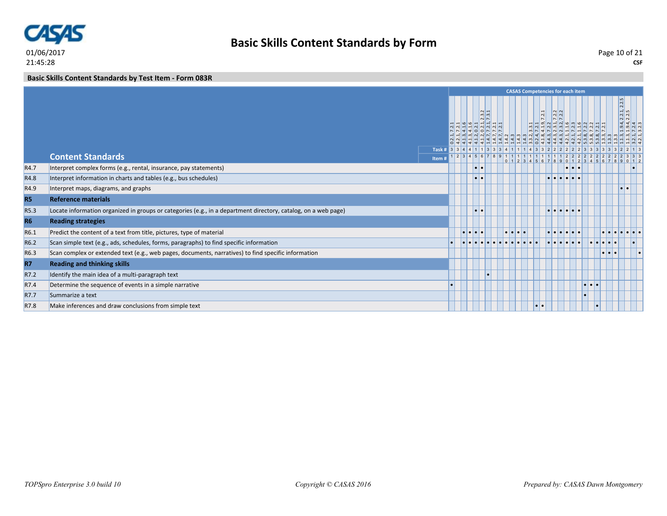

**Basic Skills Content Standards by Test Item - Form 083R**

|                  |                                                                                                                |                                      |                 |                |                                                                                                        |                                | <b>CASAS Competencies for each item</b>                                |                                   |                                                                 |                         |                  |                     |                                                                                               |  |
|------------------|----------------------------------------------------------------------------------------------------------------|--------------------------------------|-----------------|----------------|--------------------------------------------------------------------------------------------------------|--------------------------------|------------------------------------------------------------------------|-----------------------------------|-----------------------------------------------------------------|-------------------------|------------------|---------------------|-----------------------------------------------------------------------------------------------|--|
|                  |                                                                                                                |                                      |                 | N <sub>N</sub> | $\frac{1}{2}$<br>$ \omega $ $ \omega $<br> S S S S S <br>$ u   u   u   u   u   u   u   u   u   u   u $ |                                | $\overline{.2.1}$<br>$\overline{N}$<br>B 2 4 2 2 3 3 4 2 2 4 2 2 2 2 2 | $\frac{1}{2}$<br> q q             | $ a $ $ a $ $ a $ $ a $ $ a $ $ a $ $ a $                       |                         |                  |                     | 2.2.1, 2.2.5<br>$\left  4 \right  4$<br>$\frac{9}{19} \frac{9}{12} \frac{1}{22} \frac{1}{22}$ |  |
|                  |                                                                                                                | Task # 3 3 4 4 1 1 3 3 3 4 1 1 4 3 3 |                 |                |                                                                                                        |                                |                                                                        |                                   | 222222                                                          |                         |                  |                     |                                                                                               |  |
|                  | <b>Content Standards</b>                                                                                       | Item #                               |                 |                | $1 2 3 4 5 6 7 8 9 1 1 1 1 1 1 1 1 1 2 2 2$                                                            |                                | 0 1 2 3 4 5 6 7 8 9                                                    |                                   |                                                                 |                         |                  |                     | 2333                                                                                          |  |
| R4.7             | Interpret complex forms (e.g., rental, insurance, pay statements)                                              |                                      |                 | $\bullet$      |                                                                                                        |                                |                                                                        |                                   |                                                                 |                         |                  |                     |                                                                                               |  |
| R4.8             | Interpret information in charts and tables (e.g., bus schedules)                                               |                                      |                 |                |                                                                                                        |                                |                                                                        |                                   |                                                                 |                         |                  |                     |                                                                                               |  |
| R4.9             | Interpret maps, diagrams, and graphs                                                                           |                                      |                 |                |                                                                                                        |                                |                                                                        |                                   |                                                                 |                         |                  |                     | $\bullet\bullet$                                                                              |  |
| <b>R5</b>        | <b>Reference materials</b>                                                                                     |                                      |                 |                |                                                                                                        |                                |                                                                        |                                   |                                                                 |                         |                  |                     |                                                                                               |  |
| R5.3             | Locate information organized in groups or categories (e.g., in a department directory, catalog, on a web page) |                                      |                 | $\bullet$      |                                                                                                        |                                |                                                                        |                                   | $  \bullet   \bullet   \bullet   \bullet   \bullet   \bullet  $ |                         |                  |                     |                                                                                               |  |
| <b>R6</b>        | <b>Reading strategies</b>                                                                                      |                                      |                 |                |                                                                                                        |                                |                                                                        |                                   |                                                                 |                         |                  |                     |                                                                                               |  |
| R6.1             | Predict the content of a text from title, pictures, type of material                                           |                                      | <u>le le le</u> |                |                                                                                                        | $\bullet\bullet\bullet\bullet$ |                                                                        | $  \bullet   \bullet   \bullet  $ |                                                                 | $\bullet\bullet\bullet$ |                  |                     |                                                                                               |  |
| R <sub>6.2</sub> | Scan simple text (e.g., ads, schedules, forms, paragraphs) to find specific information                        |                                      |                 |                |                                                                                                        |                                |                                                                        |                                   |                                                                 |                         |                  |                     |                                                                                               |  |
| R6.3             | Scan complex or extended text (e.g., web pages, documents, narratives) to find specific information            |                                      |                 |                |                                                                                                        |                                |                                                                        |                                   |                                                                 |                         |                  | $  \cdot   \cdot  $ |                                                                                               |  |
| <b>R7</b>        | <b>Reading and thinking skills</b>                                                                             |                                      |                 |                |                                                                                                        |                                |                                                                        |                                   |                                                                 |                         |                  |                     |                                                                                               |  |
| R7.2             | Identify the main idea of a multi-paragraph text                                                               |                                      |                 |                |                                                                                                        |                                |                                                                        |                                   |                                                                 |                         |                  |                     |                                                                                               |  |
| R7.4             | Determine the sequence of events in a simple narrative                                                         |                                      |                 |                |                                                                                                        |                                |                                                                        |                                   |                                                                 |                         | $\bullet\bullet$ |                     |                                                                                               |  |
| R7.7             | Summarize a text                                                                                               |                                      |                 |                |                                                                                                        |                                |                                                                        |                                   |                                                                 |                         |                  |                     |                                                                                               |  |
| R7.8             | Make inferences and draw conclusions from simple text                                                          |                                      |                 |                |                                                                                                        |                                | $\bullet$                                                              |                                   |                                                                 |                         |                  |                     |                                                                                               |  |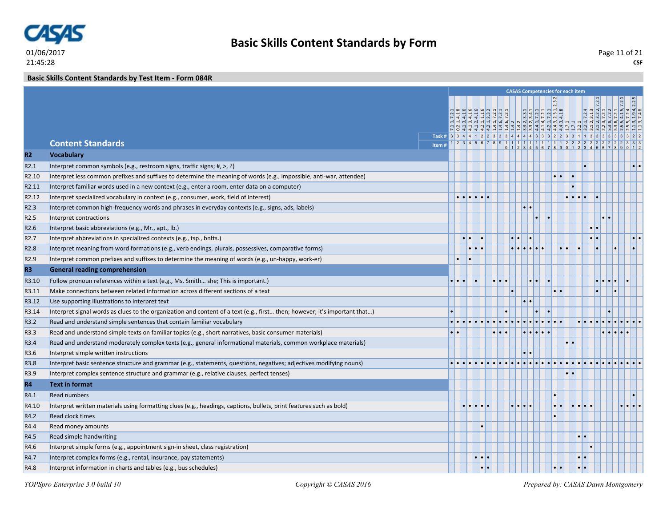

**Basic Skills Content Standards by Test Item - Form 084R**

|                   |                                                                                                                            |           |   |                     |                     |                                             |                  | <b>CASAS Competencies for each item</b>                                                                                                                                                                                                                                                                                                                                                |                   |                                   |                         |                                                                                 |       |  |
|-------------------|----------------------------------------------------------------------------------------------------------------------------|-----------|---|---------------------|---------------------|---------------------------------------------|------------------|----------------------------------------------------------------------------------------------------------------------------------------------------------------------------------------------------------------------------------------------------------------------------------------------------------------------------------------------------------------------------------------|-------------------|-----------------------------------|-------------------------|---------------------------------------------------------------------------------|-------|--|
|                   |                                                                                                                            |           |   |                     |                     |                                             |                  |                                                                                                                                                                                                                                                                                                                                                                                        |                   |                                   |                         |                                                                                 |       |  |
|                   |                                                                                                                            |           |   |                     |                     |                                             |                  | $\frac{1, 2.3.2}{8}$                                                                                                                                                                                                                                                                                                                                                                   |                   |                                   |                         | 724<br>31.3<br>73.2, 7.2.1<br>7.2.2<br>7.2.1<br>7.2.4<br>7.2.4<br>7.19.4, 2.2.5 |       |  |
|                   |                                                                                                                            |           |   |                     |                     |                                             |                  | $\begin{array}{l} \mathbf{d_1} \ \mathbf{d_2} \ \mathbf{e_3} \ \mathbf{e_4} \ \mathbf{e_5} \ \mathbf{e_6} \ \mathbf{e_7} \ \mathbf{e_8} \ \mathbf{f_1} \ \mathbf{f_2} \ \mathbf{f_3} \ \mathbf{f_4} \ \mathbf{f_6} \ \mathbf{f_7} \ \mathbf{f_8} \ \mathbf{f_9} \ \mathbf{f_9} \ \mathbf{f_1} \ \mathbf{f_2} \ \mathbf{f_3} \ \mathbf{f_4} \ \mathbf{f_6} \ \mathbf{f_7} \ \mathbf{f_$ |                   |                                   |                         |                                                                                 |       |  |
|                   |                                                                                                                            |           |   |                     |                     |                                             |                  | संसम्बद्धि संसम्बद्धाः अस्य स्वयं<br>सम्मान् विस्कृतम् संस्कृतस्य स्वयं                                                                                                                                                                                                                                                                                                                |                   |                                   |                         |                                                                                 |       |  |
|                   | Task # 3 3 4 4 1 2 2 3 3 3 4 4 4 4 4 3 3 3 2 2 3 3 1 1 3 3 3 3 3 3 3 4 2 2<br><b>Content Standards</b>                     |           |   |                     |                     |                                             |                  |                                                                                                                                                                                                                                                                                                                                                                                        |                   |                                   |                         |                                                                                 | 3 3 3 |  |
|                   | Item#                                                                                                                      |           |   |                     |                     |                                             |                  |                                                                                                                                                                                                                                                                                                                                                                                        |                   |                                   |                         | $0$ 1 2 3 4 5 6 7 8 9 0 1 2 3 4 5 6 7 8 9                                       |       |  |
| R2                | <b>Vocabulary</b>                                                                                                          |           |   |                     |                     |                                             |                  |                                                                                                                                                                                                                                                                                                                                                                                        |                   |                                   |                         |                                                                                 |       |  |
| R2.1              | Interpret common symbols (e.g., restroom signs, traffic signs; #, >, ?)                                                    |           |   |                     |                     |                                             |                  |                                                                                                                                                                                                                                                                                                                                                                                        |                   |                                   |                         |                                                                                 |       |  |
| R <sub>2.10</sub> | Interpret less common prefixes and suffixes to determine the meaning of words (e.g., impossible, anti-war, attendee)       |           |   |                     |                     |                                             |                  |                                                                                                                                                                                                                                                                                                                                                                                        |                   |                                   |                         |                                                                                 |       |  |
| R2.11             | Interpret familiar words used in a new context (e.g., enter a room, enter data on a computer)                              |           |   |                     |                     |                                             |                  |                                                                                                                                                                                                                                                                                                                                                                                        |                   |                                   |                         |                                                                                 |       |  |
| R <sub>2.12</sub> | Interpret specialized vocabulary in context (e.g., consumer, work, field of interest)                                      |           |   |                     |                     |                                             |                  |                                                                                                                                                                                                                                                                                                                                                                                        |                   |                                   |                         |                                                                                 |       |  |
| R <sub>2.3</sub>  | Interpret common high-frequency words and phrases in everyday contexts (e.g., signs, ads, labels)                          |           |   |                     |                     | $  \bullet   \bullet$                       |                  |                                                                                                                                                                                                                                                                                                                                                                                        |                   |                                   |                         |                                                                                 |       |  |
| R <sub>2.5</sub>  | Interpret contractions                                                                                                     |           |   |                     |                     |                                             |                  |                                                                                                                                                                                                                                                                                                                                                                                        |                   |                                   |                         |                                                                                 |       |  |
| R <sub>2.6</sub>  | Interpret basic abbreviations (e.g., Mr., apt., lb.)                                                                       |           |   |                     |                     |                                             |                  |                                                                                                                                                                                                                                                                                                                                                                                        |                   |                                   |                         |                                                                                 |       |  |
| R <sub>2.7</sub>  | Interpret abbreviations in specialized contexts (e.g., tsp., bnfts.)                                                       |           |   |                     |                     |                                             |                  |                                                                                                                                                                                                                                                                                                                                                                                        |                   |                                   | $  \bullet   \bullet  $ |                                                                                 |       |  |
| R <sub>2.8</sub>  | Interpret meaning from word formations (e.g., verb endings, plurals, possessives, comparative forms)                       |           | . |                     |                     |                                             | elelelele        |                                                                                                                                                                                                                                                                                                                                                                                        | $  \cdot   \cdot$ |                                   |                         | ×                                                                               |       |  |
| R <sub>2.9</sub>  | Interpret common prefixes and suffixes to determine the meaning of words (e.g., un-happy, work-er)                         | $\bullet$ |   |                     |                     |                                             |                  |                                                                                                                                                                                                                                                                                                                                                                                        |                   |                                   |                         |                                                                                 |       |  |
| R <sub>3</sub>    | <b>General reading comprehension</b>                                                                                       |           |   |                     |                     |                                             |                  |                                                                                                                                                                                                                                                                                                                                                                                        |                   |                                   |                         |                                                                                 |       |  |
| R3.10             | Follow pronoun references within a text (e.g., Ms. Smith she; This is important.)                                          |           |   |                     |                     |                                             | $\bullet\bullet$ |                                                                                                                                                                                                                                                                                                                                                                                        |                   |                                   |                         |                                                                                 |       |  |
| R3.11             | Make connections between related information across different sections of a text                                           |           |   |                     |                     |                                             |                  |                                                                                                                                                                                                                                                                                                                                                                                        |                   |                                   |                         |                                                                                 |       |  |
| R3.12             | Use supporting illustrations to interpret text                                                                             |           |   |                     |                     | $\bullet\bullet$                            |                  |                                                                                                                                                                                                                                                                                                                                                                                        |                   |                                   |                         |                                                                                 |       |  |
| R3.14             | Interpret signal words as clues to the organization and content of a text (e.g., first then; however; it's important that) |           |   |                     |                     |                                             |                  |                                                                                                                                                                                                                                                                                                                                                                                        |                   |                                   |                         |                                                                                 |       |  |
| R3.2              | Read and understand simple sentences that contain familiar vocabulary                                                      |           |   |                     |                     |                                             |                  |                                                                                                                                                                                                                                                                                                                                                                                        |                   |                                   |                         |                                                                                 |       |  |
| R3.3              | Read and understand simple texts on familiar topics (e.g., short narratives, basic consumer materials)                     |           |   |                     | $\cdot \cdot \cdot$ |                                             |                  |                                                                                                                                                                                                                                                                                                                                                                                        |                   |                                   |                         |                                                                                 |       |  |
| R3.4              | Read and understand moderately complex texts (e.g., general informational materials, common workplace materials)           |           |   |                     |                     |                                             |                  |                                                                                                                                                                                                                                                                                                                                                                                        |                   |                                   |                         |                                                                                 |       |  |
| R3.6              | Interpret simple written instructions                                                                                      |           |   |                     |                     |                                             |                  |                                                                                                                                                                                                                                                                                                                                                                                        |                   |                                   |                         |                                                                                 |       |  |
| R3.8              | Interpret basic sentence structure and grammar (e.g., statements, questions, negatives; adjectives modifying nouns)        |           |   |                     |                     |                                             |                  |                                                                                                                                                                                                                                                                                                                                                                                        |                   |                                   |                         |                                                                                 |       |  |
| R3.9              | Interpret complex sentence structure and grammar (e.g., relative clauses, perfect tenses)                                  |           |   |                     |                     |                                             |                  |                                                                                                                                                                                                                                                                                                                                                                                        |                   |                                   |                         |                                                                                 |       |  |
| <b>R4</b>         | <b>Text in format</b>                                                                                                      |           |   |                     |                     |                                             |                  |                                                                                                                                                                                                                                                                                                                                                                                        |                   |                                   |                         |                                                                                 |       |  |
| R4.1              | <b>Read numbers</b>                                                                                                        |           |   |                     |                     |                                             |                  |                                                                                                                                                                                                                                                                                                                                                                                        |                   |                                   |                         |                                                                                 |       |  |
| R4.10             | Interpret written materials using formatting clues (e.g., headings, captions, bullets, print features such as bold)        |           |   |                     |                     | $  \bullet   \bullet   \bullet   \bullet  $ |                  | $\bullet\bullet$                                                                                                                                                                                                                                                                                                                                                                       |                   | $  \bullet   \bullet   \bullet  $ |                         |                                                                                 |       |  |
| R4.2              | Read clock times                                                                                                           |           |   |                     |                     |                                             |                  |                                                                                                                                                                                                                                                                                                                                                                                        |                   |                                   |                         |                                                                                 |       |  |
| R4.4              | Read money amounts                                                                                                         |           |   |                     |                     |                                             |                  |                                                                                                                                                                                                                                                                                                                                                                                        |                   |                                   |                         |                                                                                 |       |  |
| R4.5              | Read simple handwriting                                                                                                    |           |   |                     |                     |                                             |                  |                                                                                                                                                                                                                                                                                                                                                                                        |                   |                                   |                         |                                                                                 |       |  |
| R4.6              | Interpret simple forms (e.g., appointment sign-in sheet, class registration)                                               |           |   |                     |                     |                                             |                  |                                                                                                                                                                                                                                                                                                                                                                                        |                   |                                   |                         |                                                                                 |       |  |
| R4.7              | Interpret complex forms (e.g., rental, insurance, pay statements)                                                          |           |   |                     |                     |                                             |                  |                                                                                                                                                                                                                                                                                                                                                                                        |                   |                                   |                         |                                                                                 |       |  |
| R4.8              | Interpret information in charts and tables (e.g., bus schedules)                                                           |           |   | $\bullet$ $\bullet$ |                     |                                             |                  | . ا                                                                                                                                                                                                                                                                                                                                                                                    |                   |                                   |                         |                                                                                 |       |  |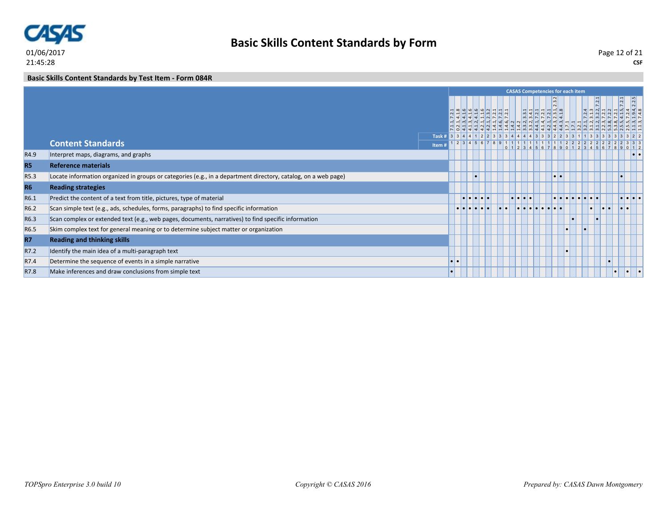

**Basic Skills Content Standards by Test Item - Form 084R**

|           |                                                                                                                |                                                    |          |   |                                                   |                                                                       |                                       | <b>CASAS Competencies for each item</b>                                                                                 |                  |           |           |  |                                       |                         |
|-----------|----------------------------------------------------------------------------------------------------------------|----------------------------------------------------|----------|---|---------------------------------------------------|-----------------------------------------------------------------------|---------------------------------------|-------------------------------------------------------------------------------------------------------------------------|------------------|-----------|-----------|--|---------------------------------------|-------------------------|
|           |                                                                                                                |                                                    |          |   | $\frac{a}{2} \frac{a}{2} \frac{b}{2} \frac{c}{2}$ | $\frac{1}{4}$ $\frac{1}{4}$ $\frac{1}{4}$ $\frac{1}{8}$ $\frac{1}{1}$ |                                       |                                                                                                                         |                  |           |           |  |                                       |                         |
|           | <b>Content Standards</b>                                                                                       | Task # 3 3 4 4 1 2 2 3 3 3 4 4 4 4 3 3 3 2 2 3 3 1 |          |   |                                                   |                                                                       |                                       | $1 \ 2 \ 3 \ 4 \ 5 \ 6 \ 7 \ 8 \ 9 \ 1 \ 1 \ 1 \ 1 \ 1 \ 1 \ 1 \ 1 \ 1 \ 1 \ 1 \ 2 \ 2 \ 2 \ 2 \ 2 \ 2 \ 2 \ 2 \ 2 \ 2$ |                  |           |           |  | 2 3 3 3                               |                         |
|           |                                                                                                                | Item #                                             |          |   |                                                   |                                                                       |                                       |                                                                                                                         |                  | 567890    | 12345678  |  | 90112                                 |                         |
| R4.9      | Interpret maps, diagrams, and graphs                                                                           |                                                    |          |   |                                                   |                                                                       |                                       |                                                                                                                         |                  |           |           |  |                                       | $  \bullet   \bullet  $ |
| <b>R5</b> | <b>Reference materials</b>                                                                                     |                                                    |          |   |                                                   |                                                                       |                                       |                                                                                                                         |                  |           |           |  |                                       |                         |
| R5.3      | Locate information organized in groups or categories (e.g., in a department directory, catalog, on a web page) |                                                    |          |   |                                                   |                                                                       |                                       |                                                                                                                         | $\bullet\bullet$ |           |           |  |                                       |                         |
| <b>R6</b> | <b>Reading strategies</b>                                                                                      |                                                    |          |   |                                                   |                                                                       |                                       |                                                                                                                         |                  |           |           |  |                                       |                         |
| R6.1      | Predict the content of a text from title, pictures, type of material                                           |                                                    |          | . |                                                   |                                                                       | $\bullet\bullet\bullet\bullet\bullet$ |                                                                                                                         |                  |           |           |  | $\bullet\bullet\bullet\bullet\bullet$ |                         |
| R6.2      | Scan simple text (e.g., ads, schedules, forms, paragraphs) to find specific information                        |                                                    |          |   |                                                   |                                                                       |                                       | . .                                                                                                                     |                  |           |           |  | . .                                   |                         |
| R6.3      | Scan complex or extended text (e.g., web pages, documents, narratives) to find specific information            |                                                    |          |   |                                                   |                                                                       |                                       |                                                                                                                         |                  |           | $\bullet$ |  |                                       |                         |
| R6.5      | Skim complex text for general meaning or to determine subject matter or organization                           |                                                    |          |   |                                                   |                                                                       |                                       |                                                                                                                         |                  | $\bullet$ |           |  |                                       |                         |
| <b>R7</b> | <b>Reading and thinking skills</b>                                                                             |                                                    |          |   |                                                   |                                                                       |                                       |                                                                                                                         |                  |           |           |  |                                       |                         |
| R7.2      | Identify the main idea of a multi-paragraph text                                                               |                                                    |          |   |                                                   |                                                                       |                                       |                                                                                                                         |                  |           |           |  |                                       |                         |
| R7.4      | Determine the sequence of events in a simple narrative                                                         |                                                    | <b>D</b> |   |                                                   |                                                                       |                                       |                                                                                                                         |                  |           |           |  |                                       |                         |
| R7.8      | Make inferences and draw conclusions from simple text                                                          |                                                    |          |   |                                                   |                                                                       |                                       |                                                                                                                         |                  |           |           |  |                                       |                         |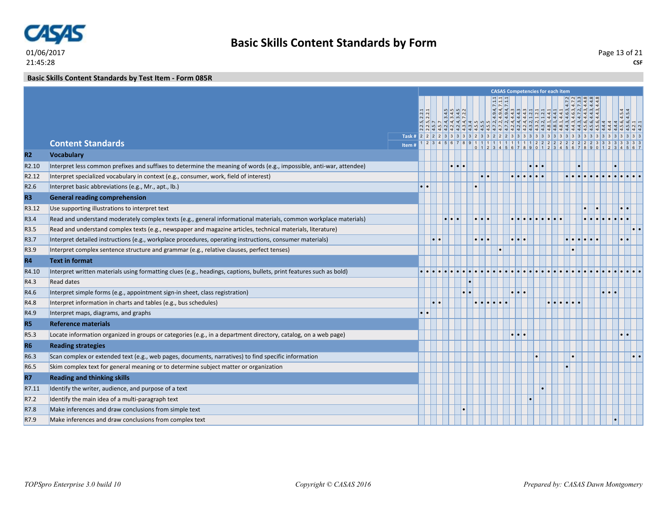

#### **Basic Skills Content Standards by Test Item - Form 085R**

|                   |                                                                                                                      |                                                                                   |                   |  |                     |     |                         | <b>CASAS Competencies for each item</b> |                                                       |  |  |                  |           |
|-------------------|----------------------------------------------------------------------------------------------------------------------|-----------------------------------------------------------------------------------|-------------------|--|---------------------|-----|-------------------------|-----------------------------------------|-------------------------------------------------------|--|--|------------------|-----------|
|                   |                                                                                                                      |                                                                                   | $\frac{2.2}{2.2}$ |  |                     | 222 |                         |                                         | $4453$<br>$453$<br>$4473$<br>$4444$<br>$444$<br>$444$ |  |  | 4.5.4            |           |
|                   |                                                                                                                      |                                                                                   |                   |  |                     |     |                         |                                         |                                                       |  |  |                  |           |
|                   | <b>Content Standards</b>                                                                                             | Task # 2 2 2 2 3 3 3 3 3 3 2 3 3 2 2 2 3 3 3 3 3 3 3 3 3 3 3 3 3 3 3 3 3<br>Item# |                   |  |                     |     |                         |                                         |                                                       |  |  |                  |           |
| R2                | <b>Vocabulary</b>                                                                                                    |                                                                                   |                   |  |                     |     |                         |                                         |                                                       |  |  |                  |           |
| R <sub>2.10</sub> | Interpret less common prefixes and suffixes to determine the meaning of words (e.g., impossible, anti-war, attendee) |                                                                                   |                   |  |                     |     |                         |                                         |                                                       |  |  |                  |           |
| R <sub>2.12</sub> | Interpret specialized vocabulary in context (e.g., consumer, work, field of interest)                                |                                                                                   |                   |  |                     |     |                         |                                         |                                                       |  |  |                  |           |
| R <sub>2.6</sub>  | Interpret basic abbreviations (e.g., Mr., apt., lb.)                                                                 |                                                                                   |                   |  |                     |     |                         |                                         |                                                       |  |  |                  |           |
| R <sub>3</sub>    | <b>General reading comprehension</b>                                                                                 |                                                                                   |                   |  |                     |     |                         |                                         |                                                       |  |  |                  |           |
| R3.12             | Use supporting illustrations to interpret text                                                                       |                                                                                   |                   |  |                     |     |                         |                                         |                                                       |  |  | $\cdot \cdot$    |           |
| R3.4              | Read and understand moderately complex texts (e.g., general informational materials, common workplace materials)     |                                                                                   |                   |  | $\bullet$           |     |                         |                                         |                                                       |  |  |                  |           |
| R3.5              | Read and understand complex texts (e.g., newspaper and magazine articles, technical materials, literature)           |                                                                                   |                   |  |                     |     |                         |                                         |                                                       |  |  |                  |           |
| R3.7              | Interpret detailed instructions (e.g., workplace procedures, operating instructions, consumer materials)             |                                                                                   |                   |  | $\cdot \cdot \cdot$ |     |                         |                                         |                                                       |  |  | $\bullet$        |           |
| R3.9              | Interpret complex sentence structure and grammar (e.g., relative clauses, perfect tenses)                            |                                                                                   |                   |  |                     |     |                         |                                         |                                                       |  |  |                  |           |
| <b>R4</b>         | <b>Text in format</b>                                                                                                |                                                                                   |                   |  |                     |     |                         |                                         |                                                       |  |  |                  |           |
| R4.10             | Interpret written materials using formatting clues (e.g., headings, captions, bullets, print features such as bold)  |                                                                                   |                   |  |                     |     |                         |                                         |                                                       |  |  |                  |           |
| R4.3              | <b>Read dates</b>                                                                                                    |                                                                                   |                   |  |                     |     |                         |                                         |                                                       |  |  |                  |           |
| R4.6              | Interpret simple forms (e.g., appointment sign-in sheet, class registration)                                         |                                                                                   |                   |  |                     |     |                         |                                         |                                                       |  |  |                  |           |
| R4.8              | Interpret information in charts and tables (e.g., bus schedules)                                                     |                                                                                   |                   |  |                     |     |                         |                                         |                                                       |  |  |                  |           |
| R4.9              | Interpret maps, diagrams, and graphs                                                                                 |                                                                                   |                   |  |                     |     |                         |                                         |                                                       |  |  |                  |           |
| <b>R5</b>         | <b>Reference materials</b>                                                                                           |                                                                                   |                   |  |                     |     |                         |                                         |                                                       |  |  |                  |           |
| R5.3              | Locate information organized in groups or categories (e.g., in a department directory, catalog, on a web page)       |                                                                                   |                   |  |                     |     | $\bullet\bullet\bullet$ |                                         |                                                       |  |  | $\bullet\bullet$ |           |
| <b>R6</b>         | <b>Reading strategies</b>                                                                                            |                                                                                   |                   |  |                     |     |                         |                                         |                                                       |  |  |                  |           |
| R6.3              | Scan complex or extended text (e.g., web pages, documents, narratives) to find specific information                  |                                                                                   |                   |  |                     |     |                         |                                         |                                                       |  |  |                  | $\bullet$ |
| R <sub>6.5</sub>  | Skim complex text for general meaning or to determine subject matter or organization                                 |                                                                                   |                   |  |                     |     |                         |                                         |                                                       |  |  |                  |           |
| <b>R7</b>         | <b>Reading and thinking skills</b>                                                                                   |                                                                                   |                   |  |                     |     |                         |                                         |                                                       |  |  |                  |           |
| R7.11             | Identify the writer, audience, and purpose of a text                                                                 |                                                                                   |                   |  |                     |     |                         |                                         |                                                       |  |  |                  |           |
| R7.2              | Identify the main idea of a multi-paragraph text                                                                     |                                                                                   |                   |  |                     |     |                         |                                         |                                                       |  |  |                  |           |
| R7.8              | Make inferences and draw conclusions from simple text                                                                |                                                                                   |                   |  |                     |     |                         |                                         |                                                       |  |  |                  |           |
| R7.9              | Make inferences and draw conclusions from complex text                                                               |                                                                                   |                   |  |                     |     |                         |                                         |                                                       |  |  |                  |           |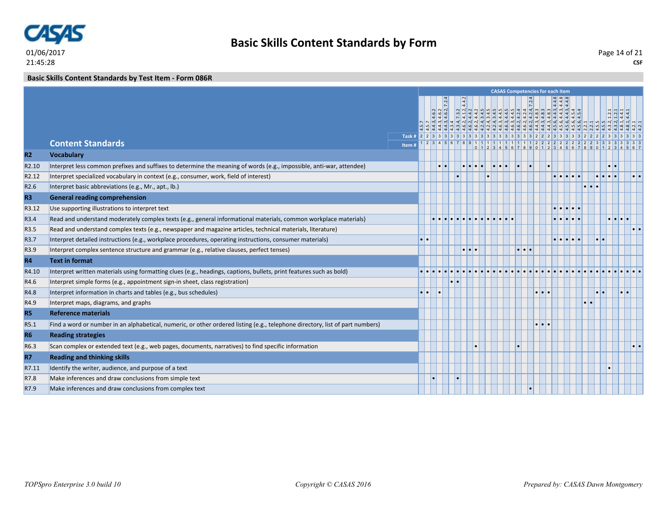

**Basic Skills Content Standards by Test Item - Form 086R**

|                   |                                                                                                                               |        |  |                     |  |  |                     | <b>CASAS Competencies for each item</b> |   |                                                                                                                                                        |                 |                                                                                                      |   |           |
|-------------------|-------------------------------------------------------------------------------------------------------------------------------|--------|--|---------------------|--|--|---------------------|-----------------------------------------|---|--------------------------------------------------------------------------------------------------------------------------------------------------------|-----------------|------------------------------------------------------------------------------------------------------|---|-----------|
|                   |                                                                                                                               |        |  |                     |  |  |                     |                                         |   | $\begin{array}{r} \n 13 \\  -3 \\  -4.3, 4.4, 8 \\  -4.3, 4.4, 8 \\  4.4, 3, 4.4, 8 \\  4.4, 3, 4.4, 8 \\  4.4, 3, 4.4, 8 \\  5, 4.5, 4\n \end{array}$ |                 | $\begin{array}{c c c c} 1.2 & 1.1 & 1.1 \\ 1.2 & 1.4 & 1.1 \\ 4.4 & 1.1 & 1.1 \\ \hline \end{array}$ |   |           |
|                   | <b>Content Standards</b>                                                                                                      |        |  |                     |  |  |                     |                                         |   |                                                                                                                                                        |                 |                                                                                                      |   |           |
|                   |                                                                                                                               | Item # |  |                     |  |  |                     |                                         |   |                                                                                                                                                        |                 |                                                                                                      |   |           |
| R2                | <b>Vocabulary</b>                                                                                                             |        |  |                     |  |  |                     |                                         |   |                                                                                                                                                        |                 |                                                                                                      |   |           |
| R <sub>2.10</sub> | Interpret less common prefixes and suffixes to determine the meaning of words (e.g., impossible, anti-war, attendee)          |        |  |                     |  |  |                     |                                         |   |                                                                                                                                                        |                 |                                                                                                      |   |           |
| R <sub>2.12</sub> | Interpret specialized vocabulary in context (e.g., consumer, work, field of interest)                                         |        |  |                     |  |  |                     |                                         |   |                                                                                                                                                        |                 |                                                                                                      |   |           |
| R <sub>2.6</sub>  | Interpret basic abbreviations (e.g., Mr., apt., lb.)                                                                          |        |  |                     |  |  |                     |                                         |   |                                                                                                                                                        |                 |                                                                                                      |   |           |
| R <sub>3</sub>    | <b>General reading comprehension</b>                                                                                          |        |  |                     |  |  |                     |                                         |   |                                                                                                                                                        |                 |                                                                                                      |   |           |
| R3.12             | Use supporting illustrations to interpret text                                                                                |        |  |                     |  |  |                     |                                         |   |                                                                                                                                                        |                 |                                                                                                      |   |           |
| R3.4              | Read and understand moderately complex texts (e.g., general informational materials, common workplace materials)              |        |  |                     |  |  |                     |                                         | . |                                                                                                                                                        |                 | $\bullet\bullet\bullet\bullet\bullet$                                                                |   |           |
| R3.5              | Read and understand complex texts (e.g., newspaper and magazine articles, technical materials, literature)                    |        |  |                     |  |  |                     |                                         |   |                                                                                                                                                        |                 |                                                                                                      |   | $\bullet$ |
| R3.7              | Interpret detailed instructions (e.g., workplace procedures, operating instructions, consumer materials)                      |        |  |                     |  |  |                     |                                         |   |                                                                                                                                                        | $\cdot$ $\cdot$ |                                                                                                      |   |           |
| R3.9              | Interpret complex sentence structure and grammar (e.g., relative clauses, perfect tenses)                                     |        |  | $\bullet$ $\bullet$ |  |  | $\bullet$ $\bullet$ |                                         |   |                                                                                                                                                        |                 |                                                                                                      |   |           |
| R4                | <b>Text in format</b>                                                                                                         |        |  |                     |  |  |                     |                                         |   |                                                                                                                                                        |                 |                                                                                                      |   |           |
| R4.10             | Interpret written materials using formatting clues (e.g., headings, captions, bullets, print features such as bold)           |        |  |                     |  |  |                     |                                         |   |                                                                                                                                                        |                 |                                                                                                      |   |           |
| R4.6              | Interpret simple forms (e.g., appointment sign-in sheet, class registration)                                                  |        |  |                     |  |  |                     |                                         |   |                                                                                                                                                        |                 |                                                                                                      |   |           |
| R4.8              | Interpret information in charts and tables (e.g., bus schedules)                                                              |        |  |                     |  |  |                     |                                         |   |                                                                                                                                                        |                 |                                                                                                      | ы |           |
| R4.9              | Interpret maps, diagrams, and graphs                                                                                          |        |  |                     |  |  |                     |                                         |   |                                                                                                                                                        |                 |                                                                                                      |   |           |
| <b>R5</b>         | <b>Reference materials</b>                                                                                                    |        |  |                     |  |  |                     |                                         |   |                                                                                                                                                        |                 |                                                                                                      |   |           |
| R5.1              | Find a word or number in an alphabetical, numeric, or other ordered listing (e.g., telephone directory, list of part numbers) |        |  |                     |  |  |                     | $  \bullet   \bullet  $                 |   |                                                                                                                                                        |                 |                                                                                                      |   |           |
| <b>R6</b>         | <b>Reading strategies</b>                                                                                                     |        |  |                     |  |  |                     |                                         |   |                                                                                                                                                        |                 |                                                                                                      |   |           |
| R6.3              | Scan complex or extended text (e.g., web pages, documents, narratives) to find specific information                           |        |  |                     |  |  |                     |                                         |   |                                                                                                                                                        |                 |                                                                                                      |   | $\bullet$ |
| <b>R7</b>         | <b>Reading and thinking skills</b>                                                                                            |        |  |                     |  |  |                     |                                         |   |                                                                                                                                                        |                 |                                                                                                      |   |           |
| R7.11             | Identify the writer, audience, and purpose of a text                                                                          |        |  |                     |  |  |                     |                                         |   |                                                                                                                                                        |                 |                                                                                                      |   |           |
| R7.8              | Make inferences and draw conclusions from simple text                                                                         |        |  |                     |  |  |                     |                                         |   |                                                                                                                                                        |                 |                                                                                                      |   |           |
| R7.9              | Make inferences and draw conclusions from complex text                                                                        |        |  |                     |  |  |                     |                                         |   |                                                                                                                                                        |                 |                                                                                                      |   |           |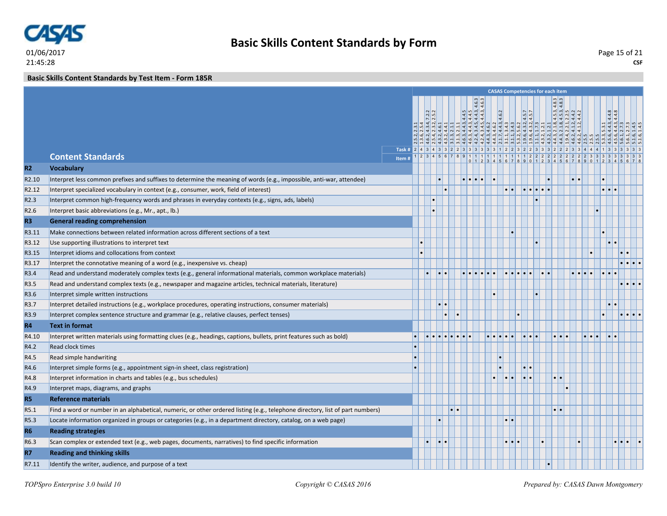

#### **Basic Skills Content Standards by Test Item - Form 185R**

|                   |                                                                                                                               |      |  |                          |                               |  |                                                                                                                 |                       | <b>CASAS Competencies for each item</b> |               |                                                                                                                            |           |   |       |  |
|-------------------|-------------------------------------------------------------------------------------------------------------------------------|------|--|--------------------------|-------------------------------|--|-----------------------------------------------------------------------------------------------------------------|-----------------------|-----------------------------------------|---------------|----------------------------------------------------------------------------------------------------------------------------|-----------|---|-------|--|
|                   |                                                                                                                               |      |  |                          |                               |  |                                                                                                                 |                       |                                         |               |                                                                                                                            |           |   |       |  |
|                   |                                                                                                                               |      |  |                          |                               |  |                                                                                                                 |                       |                                         |               |                                                                                                                            |           |   |       |  |
|                   |                                                                                                                               |      |  |                          | $.44.5$<br>$.44.3$<br>$.44.3$ |  | 4.6.2                                                                                                           |                       | $\frac{4.5.7}{4.5.7}$                   |               | $\begin{array}{l} 1.8, 4.5.3, 4 \\ -0.8, 4.5.3, 4 \\ -0.8, 4.5.3, 4 \\ 1.2, 2.2.5 \\ 1.2, 4.4.2 \\ 1.2, 4.4.2 \end{array}$ |           |   | 4.4.8 |  |
|                   |                                                                                                                               |      |  |                          |                               |  | $\frac{1}{2}$ $\frac{1}{2}$ $\frac{1}{2}$ $\frac{1}{2}$ $\frac{1}{2}$ $\frac{1}{2}$ $\frac{1}{2}$ $\frac{1}{2}$ |                       |                                         |               |                                                                                                                            |           |   |       |  |
|                   |                                                                                                                               |      |  |                          |                               |  |                                                                                                                 |                       |                                         |               |                                                                                                                            |           |   |       |  |
|                   |                                                                                                                               |      |  |                          |                               |  |                                                                                                                 |                       |                                         |               |                                                                                                                            |           |   |       |  |
|                   | <b>Content Standards</b>                                                                                                      | Item |  |                          |                               |  |                                                                                                                 |                       |                                         |               |                                                                                                                            |           |   |       |  |
| R2                | <b>Vocabulary</b>                                                                                                             |      |  |                          |                               |  |                                                                                                                 |                       |                                         |               |                                                                                                                            |           |   |       |  |
| R <sub>2.10</sub> | Interpret less common prefixes and suffixes to determine the meaning of words (e.g., impossible, anti-war, attendee)          |      |  |                          | .                             |  |                                                                                                                 |                       |                                         |               |                                                                                                                            | $\bullet$ |   |       |  |
| R <sub>2.12</sub> | Interpret specialized vocabulary in context (e.g., consumer, work, field of interest)                                         |      |  |                          |                               |  |                                                                                                                 | $\cdot \cdot$         |                                         |               |                                                                                                                            |           | . |       |  |
| R <sub>2.3</sub>  | Interpret common high-frequency words and phrases in everyday contexts (e.g., signs, ads, labels)                             |      |  |                          |                               |  |                                                                                                                 |                       |                                         |               |                                                                                                                            |           |   |       |  |
| R <sub>2.6</sub>  | Interpret basic abbreviations (e.g., Mr., apt., lb.)                                                                          |      |  |                          |                               |  |                                                                                                                 |                       |                                         |               |                                                                                                                            |           |   |       |  |
| R <sub>3</sub>    | <b>General reading comprehension</b>                                                                                          |      |  |                          |                               |  |                                                                                                                 |                       |                                         |               |                                                                                                                            |           |   |       |  |
| R3.11             | Make connections between related information across different sections of a text                                              |      |  |                          |                               |  |                                                                                                                 |                       |                                         |               |                                                                                                                            |           |   |       |  |
| R3.12             | Use supporting illustrations to interpret text                                                                                |      |  |                          |                               |  |                                                                                                                 |                       |                                         |               |                                                                                                                            |           |   |       |  |
| R3.15             | Interpret idioms and collocations from context                                                                                |      |  |                          |                               |  |                                                                                                                 |                       |                                         |               |                                                                                                                            |           |   |       |  |
| R3.17             | Interpret the connotative meaning of a word (e.g., inexpensive vs. cheap)                                                     |      |  |                          |                               |  |                                                                                                                 |                       |                                         |               |                                                                                                                            |           |   |       |  |
| R3.4              | Read and understand moderately complex texts (e.g., general informational materials, common workplace materials)              |      |  | $\overline{\phantom{a}}$ |                               |  |                                                                                                                 |                       |                                         |               |                                                                                                                            |           |   |       |  |
| R3.5              | Read and understand complex texts (e.g., newspaper and magazine articles, technical materials, literature)                    |      |  |                          |                               |  |                                                                                                                 |                       |                                         |               |                                                                                                                            |           |   |       |  |
| R3.6              | Interpret simple written instructions                                                                                         |      |  |                          |                               |  |                                                                                                                 |                       |                                         |               |                                                                                                                            |           |   |       |  |
| R3.7              | Interpret detailed instructions (e.g., workplace procedures, operating instructions, consumer materials)                      |      |  | $\bullet\bullet$         |                               |  |                                                                                                                 |                       |                                         |               |                                                                                                                            |           |   |       |  |
| R3.9              | Interpret complex sentence structure and grammar (e.g., relative clauses, perfect tenses)                                     |      |  |                          |                               |  |                                                                                                                 |                       |                                         |               |                                                                                                                            |           |   |       |  |
| <b>R4</b>         | <b>Text in format</b>                                                                                                         |      |  |                          |                               |  |                                                                                                                 |                       |                                         |               |                                                                                                                            |           |   |       |  |
| R4.10             | Interpret written materials using formatting clues (e.g., headings, captions, bullets, print features such as bold)           |      |  |                          |                               |  |                                                                                                                 |                       |                                         |               |                                                                                                                            |           |   |       |  |
| R4.2              | <b>Read clock times</b>                                                                                                       |      |  |                          |                               |  |                                                                                                                 |                       |                                         |               |                                                                                                                            |           |   |       |  |
| R4.5              | Read simple handwriting                                                                                                       |      |  |                          |                               |  |                                                                                                                 |                       |                                         |               |                                                                                                                            |           |   |       |  |
| R4.6              | Interpret simple forms (e.g., appointment sign-in sheet, class registration)                                                  |      |  |                          |                               |  |                                                                                                                 |                       |                                         |               |                                                                                                                            |           |   |       |  |
| R4.8              | Interpret information in charts and tables (e.g., bus schedules)                                                              |      |  |                          |                               |  |                                                                                                                 | $  \bullet   \bullet$ |                                         | $\cdot \cdot$ |                                                                                                                            |           |   |       |  |
| R4.9              | Interpret maps, diagrams, and graphs                                                                                          |      |  |                          |                               |  |                                                                                                                 |                       |                                         |               |                                                                                                                            |           |   |       |  |
| R <sub>5</sub>    | <b>Reference materials</b>                                                                                                    |      |  |                          |                               |  |                                                                                                                 |                       |                                         |               |                                                                                                                            |           |   |       |  |
| R5.1              | Find a word or number in an alphabetical, numeric, or other ordered listing (e.g., telephone directory, list of part numbers) |      |  |                          |                               |  |                                                                                                                 |                       |                                         |               |                                                                                                                            |           |   |       |  |
| R5.3              | Locate information organized in groups or categories (e.g., in a department directory, catalog, on a web page)                |      |  |                          |                               |  |                                                                                                                 | $\cdot \cdot$         |                                         |               |                                                                                                                            |           |   |       |  |
| <b>R6</b>         | <b>Reading strategies</b>                                                                                                     |      |  |                          |                               |  |                                                                                                                 |                       |                                         |               |                                                                                                                            |           |   |       |  |
| R6.3              | Scan complex or extended text (e.g., web pages, documents, narratives) to find specific information                           |      |  |                          |                               |  |                                                                                                                 | $\cdot\cdot\cdot$     |                                         |               |                                                                                                                            |           |   |       |  |
| <b>R7</b>         | <b>Reading and thinking skills</b>                                                                                            |      |  |                          |                               |  |                                                                                                                 |                       |                                         |               |                                                                                                                            |           |   |       |  |
| R7.11             | Identify the writer, audience, and purpose of a text                                                                          |      |  |                          |                               |  |                                                                                                                 |                       |                                         |               |                                                                                                                            |           |   |       |  |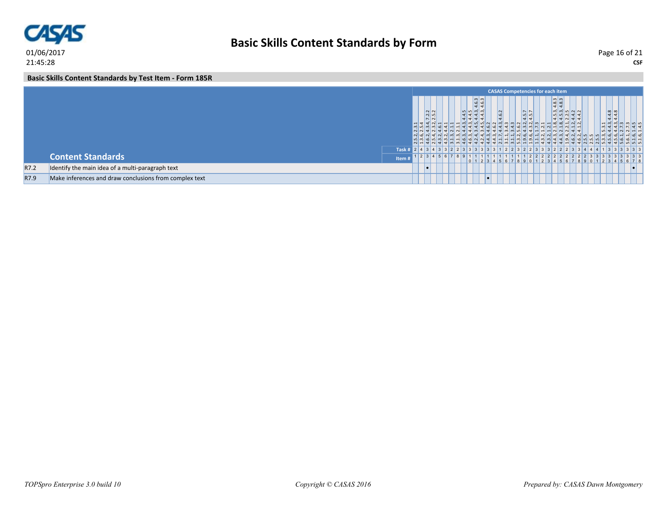

**CSF** Page 16 of 21

**Basic Skills Content Standards by Test Item - Form 185R**

|      |                                                        |             |                                                |                               |  |                                                                                                                                                                           |       |  |                                  | <b>CASAS Competencies for each item</b> |                                                                |                                                                    |     |                               |                                                                                                              |         |  |
|------|--------------------------------------------------------|-------------|------------------------------------------------|-------------------------------|--|---------------------------------------------------------------------------------------------------------------------------------------------------------------------------|-------|--|----------------------------------|-----------------------------------------|----------------------------------------------------------------|--------------------------------------------------------------------|-----|-------------------------------|--------------------------------------------------------------------------------------------------------------|---------|--|
|      |                                                        |             | $\sqrt{N}$<br>$\overline{N}$<br>$\overline{N}$ |                               |  | $ \omega $ $\omega$<br>  ဖ  ဖ<br>$\vert 4 \vert 4$<br>$\frac{4}{4}$<br>$\frac{4}{4}$<br>$\frac{4}{4}$<br>$\frac{4}{4}$<br>$\frac{3}{4}$<br>$\frac{3}{4}$<br>$\frac{3}{4}$ | 4.6.2 |  | $\frac{57}{57}$<br>$\frac{4}{4}$ | q 4 4 4 4 4 4 9 0 0 0 4 4               | $4.\overline{8}.\overline{3}$<br>$4.\overline{8}.\overline{3}$ | $4.5.3$<br>$4.5.3$<br>$2.2.5$<br>$4.4.2$<br>$4.4.2$<br>മി പ് പ് പ് |     |                               | $\frac{4.4.8}{4.4.8}$<br>3.3444777744<br>[1] 이 인 의 의 실 실 기 비 법 일 일 일 법 법 원 실 일 일 의 의 의 법 법 법 법 법 법 인 인 인 법 법 |         |  |
|      |                                                        | <b>Task</b> |                                                |                               |  |                                                                                                                                                                           |       |  |                                  |                                         |                                                                |                                                                    |     |                               |                                                                                                              |         |  |
|      | <b>Content Standards</b>                               | Item        |                                                | 2 3 4 5 6 7 8 9 1 1 1 1 1 1 1 |  |                                                                                                                                                                           |       |  |                                  |                                         |                                                                | 5678                                                               | 901 | $1 \mid 2 \mid 3 \mid 4 \mid$ | 2222222222233333333                                                                                          | 5 6 7 8 |  |
| R7.2 | Identify the main idea of a multi-paragraph text       |             | ∣∙                                             |                               |  |                                                                                                                                                                           |       |  |                                  |                                         |                                                                |                                                                    |     |                               |                                                                                                              |         |  |
| R7.9 | Make inferences and draw conclusions from complex text |             |                                                |                               |  |                                                                                                                                                                           |       |  |                                  |                                         |                                                                |                                                                    |     |                               |                                                                                                              |         |  |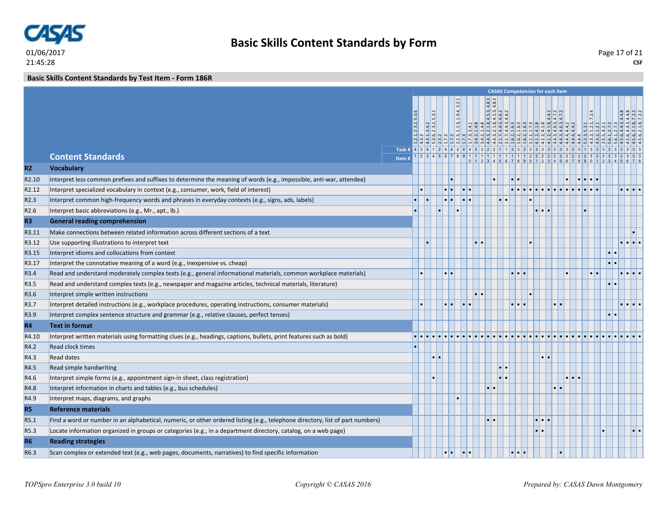

**CSF** Page 17 of 21

**Basic Skills Content Standards by Test Item - Form 186R**

|                   |                                                                                                                               |                                                                            |             |     |                  |                  |                     |                                                                                                                                                                                                                                                                                                                                                                                                        |                                 | <b>CASAS Competencies for each item</b> |               |                                             |             |           |                                |  |
|-------------------|-------------------------------------------------------------------------------------------------------------------------------|----------------------------------------------------------------------------|-------------|-----|------------------|------------------|---------------------|--------------------------------------------------------------------------------------------------------------------------------------------------------------------------------------------------------------------------------------------------------------------------------------------------------------------------------------------------------------------------------------------------------|---------------------------------|-----------------------------------------|---------------|---------------------------------------------|-------------|-----------|--------------------------------|--|
|                   |                                                                                                                               |                                                                            |             |     |                  | .2.2.1           |                     | $\frac{3}{8}$                                                                                                                                                                                                                                                                                                                                                                                          |                                 |                                         |               |                                             |             |           |                                |  |
|                   |                                                                                                                               |                                                                            |             |     |                  |                  |                     | 44<br>$\frac{1}{2}$ $\frac{1}{2}$ $\frac{1}{2}$ $\frac{1}{2}$ $\frac{1}{2}$ $\frac{1}{2}$<br>$\frac{1}{2}$   $\frac{1}{2}$   $\frac{1}{2}$   $\frac{1}{2}$   $\frac{1}{2}$   $\frac{1}{2}$   $\frac{1}{2}$   $\frac{1}{2}$   $\frac{1}{2}$   $\frac{1}{2}$   $\frac{1}{2}$   $\frac{1}{2}$   $\frac{1}{2}$   $\frac{1}{2}$   $\frac{1}{2}$   $\frac{1}{2}$   $\frac{1}{2}$   $\frac{1}{2}$   $\frac{1$ |                                 |                                         |               |                                             |             |           |                                |  |
|                   |                                                                                                                               |                                                                            | 2.3.2, 5.3. | 5.3 |                  | 1.1.3, 1.9.4,    |                     |                                                                                                                                                                                                                                                                                                                                                                                                        |                                 | 4.4.2                                   | 4.7.2         |                                             | $ 2\rangle$ |           | $\frac{4}{7}$ $\frac{7}{7}$    |  |
|                   |                                                                                                                               |                                                                            |             |     |                  |                  |                     |                                                                                                                                                                                                                                                                                                                                                                                                        |                                 |                                         |               |                                             |             |           |                                |  |
|                   |                                                                                                                               |                                                                            |             |     |                  |                  |                     |                                                                                                                                                                                                                                                                                                                                                                                                        |                                 |                                         |               |                                             |             |           |                                |  |
|                   | <b>Content Standards</b>                                                                                                      | Task # 4 3 4 1 2 4 4 2 4 4 3 3 2 2 1 1 3 3 3 3 3 3 3 3 3 3 3 4 3 3 3 3 3 4 |             |     |                  |                  |                     |                                                                                                                                                                                                                                                                                                                                                                                                        |                                 |                                         |               |                                             |             |           |                                |  |
|                   |                                                                                                                               | Item#                                                                      |             |     |                  |                  |                     |                                                                                                                                                                                                                                                                                                                                                                                                        |                                 |                                         |               |                                             |             |           |                                |  |
| R2                | <b>Vocabulary</b>                                                                                                             |                                                                            |             |     |                  |                  |                     |                                                                                                                                                                                                                                                                                                                                                                                                        |                                 |                                         |               |                                             |             |           |                                |  |
| R <sub>2.10</sub> | Interpret less common prefixes and suffixes to determine the meaning of words (e.g., impossible, anti-war, attendee)          |                                                                            |             |     |                  |                  |                     |                                                                                                                                                                                                                                                                                                                                                                                                        |                                 |                                         |               | $  \bullet   \bullet   \bullet   \bullet  $ |             |           |                                |  |
| R <sub>2.12</sub> | Interpret specialized vocabulary in context (e.g., consumer, work, field of interest)                                         |                                                                            |             |     |                  |                  | $\cdot \cdot$       |                                                                                                                                                                                                                                                                                                                                                                                                        |                                 |                                         |               |                                             |             |           | $\bullet\bullet\bullet\bullet$ |  |
| R <sub>2.3</sub>  | Interpret common high-frequency words and phrases in everyday contexts (e.g., signs, ads, labels)                             |                                                                            |             |     |                  | $\bullet\bullet$ |                     |                                                                                                                                                                                                                                                                                                                                                                                                        |                                 |                                         |               |                                             |             |           |                                |  |
| R <sub>2.6</sub>  | Interpret basic abbreviations (e.g., Mr., apt., lb.)                                                                          |                                                                            |             |     |                  |                  |                     |                                                                                                                                                                                                                                                                                                                                                                                                        |                                 | $  \bullet   \bullet  $                 |               |                                             |             |           |                                |  |
| R <sub>3</sub>    | <b>General reading comprehension</b>                                                                                          |                                                                            |             |     |                  |                  |                     |                                                                                                                                                                                                                                                                                                                                                                                                        |                                 |                                         |               |                                             |             |           |                                |  |
| R3.11             | Make connections between related information across different sections of a text                                              |                                                                            |             |     |                  |                  |                     |                                                                                                                                                                                                                                                                                                                                                                                                        |                                 |                                         |               |                                             |             |           |                                |  |
| R3.12             | Use supporting illustrations to interpret text                                                                                |                                                                            |             |     |                  |                  |                     |                                                                                                                                                                                                                                                                                                                                                                                                        |                                 |                                         |               |                                             |             |           |                                |  |
| R3.15             | Interpret idioms and collocations from context                                                                                |                                                                            |             |     |                  |                  |                     |                                                                                                                                                                                                                                                                                                                                                                                                        |                                 |                                         |               |                                             |             |           |                                |  |
| R3.17             | Interpret the connotative meaning of a word (e.g., inexpensive vs. cheap)                                                     |                                                                            |             |     |                  |                  |                     |                                                                                                                                                                                                                                                                                                                                                                                                        |                                 |                                         |               |                                             |             |           |                                |  |
| R3.4              | Read and understand moderately complex texts (e.g., general informational materials, common workplace materials)              |                                                                            |             |     |                  |                  |                     |                                                                                                                                                                                                                                                                                                                                                                                                        |                                 |                                         |               |                                             |             |           |                                |  |
| R3.5              | Read and understand complex texts (e.g., newspaper and magazine articles, technical materials, literature)                    |                                                                            |             |     |                  |                  |                     |                                                                                                                                                                                                                                                                                                                                                                                                        |                                 |                                         |               |                                             |             |           |                                |  |
| R3.6              | Interpret simple written instructions                                                                                         |                                                                            |             |     |                  |                  |                     |                                                                                                                                                                                                                                                                                                                                                                                                        |                                 |                                         |               |                                             |             |           |                                |  |
| R3.7              | Interpret detailed instructions (e.g., workplace procedures, operating instructions, consumer materials)                      |                                                                            |             |     |                  |                  |                     |                                                                                                                                                                                                                                                                                                                                                                                                        | $  \bullet   \bullet   \bullet$ |                                         | $\cdot \cdot$ |                                             |             |           | .                              |  |
| R3.9              | Interpret complex sentence structure and grammar (e.g., relative clauses, perfect tenses)                                     |                                                                            |             |     |                  |                  |                     |                                                                                                                                                                                                                                                                                                                                                                                                        |                                 |                                         |               |                                             |             | $\bullet$ |                                |  |
| R4                | <b>Text in format</b>                                                                                                         |                                                                            |             |     |                  |                  |                     |                                                                                                                                                                                                                                                                                                                                                                                                        |                                 |                                         |               |                                             |             |           |                                |  |
| R4.10             | Interpret written materials using formatting clues (e.g., headings, captions, bullets, print features such as bold)           |                                                                            |             |     |                  |                  |                     |                                                                                                                                                                                                                                                                                                                                                                                                        |                                 |                                         |               |                                             |             |           |                                |  |
| R4.2              | <b>Read clock times</b>                                                                                                       |                                                                            |             |     |                  |                  |                     |                                                                                                                                                                                                                                                                                                                                                                                                        |                                 |                                         |               |                                             |             |           |                                |  |
| R4.3              | <b>Read dates</b>                                                                                                             |                                                                            |             |     |                  |                  |                     |                                                                                                                                                                                                                                                                                                                                                                                                        |                                 | $\cdot \cdot$                           |               |                                             |             |           |                                |  |
| R4.5              | Read simple handwriting                                                                                                       |                                                                            |             |     |                  |                  |                     |                                                                                                                                                                                                                                                                                                                                                                                                        |                                 |                                         |               |                                             |             |           |                                |  |
| R4.6              | Interpret simple forms (e.g., appointment sign-in sheet, class registration)                                                  |                                                                            |             |     |                  |                  |                     |                                                                                                                                                                                                                                                                                                                                                                                                        |                                 |                                         |               |                                             |             |           |                                |  |
| R4.8              | Interpret information in charts and tables (e.g., bus schedules)                                                              |                                                                            |             |     |                  |                  |                     |                                                                                                                                                                                                                                                                                                                                                                                                        |                                 |                                         |               |                                             |             |           |                                |  |
| R4.9              | Interpret maps, diagrams, and graphs                                                                                          |                                                                            |             |     |                  |                  |                     |                                                                                                                                                                                                                                                                                                                                                                                                        |                                 |                                         |               |                                             |             |           |                                |  |
| R <sub>5</sub>    | <b>Reference materials</b>                                                                                                    |                                                                            |             |     |                  |                  |                     |                                                                                                                                                                                                                                                                                                                                                                                                        |                                 |                                         |               |                                             |             |           |                                |  |
| R5.1              | Find a word or number in an alphabetical, numeric, or other ordered listing (e.g., telephone directory, list of part numbers) |                                                                            |             |     |                  |                  |                     | $\bullet\bullet$                                                                                                                                                                                                                                                                                                                                                                                       |                                 | $  \bullet   \bullet  $                 |               |                                             |             |           |                                |  |
| R5.3              | Locate information organized in groups or categories (e.g., in a department directory, catalog, on a web page)                |                                                                            |             |     |                  |                  |                     |                                                                                                                                                                                                                                                                                                                                                                                                        |                                 |                                         |               |                                             |             |           |                                |  |
| R <sub>6</sub>    | <b>Reading strategies</b>                                                                                                     |                                                                            |             |     |                  |                  |                     |                                                                                                                                                                                                                                                                                                                                                                                                        |                                 |                                         |               |                                             |             |           |                                |  |
| R6.3              | Scan complex or extended text (e.g., web pages, documents, narratives) to find specific information                           |                                                                            |             |     | $\bullet\bullet$ |                  | $\bullet$ $\bullet$ |                                                                                                                                                                                                                                                                                                                                                                                                        |                                 |                                         |               |                                             |             |           |                                |  |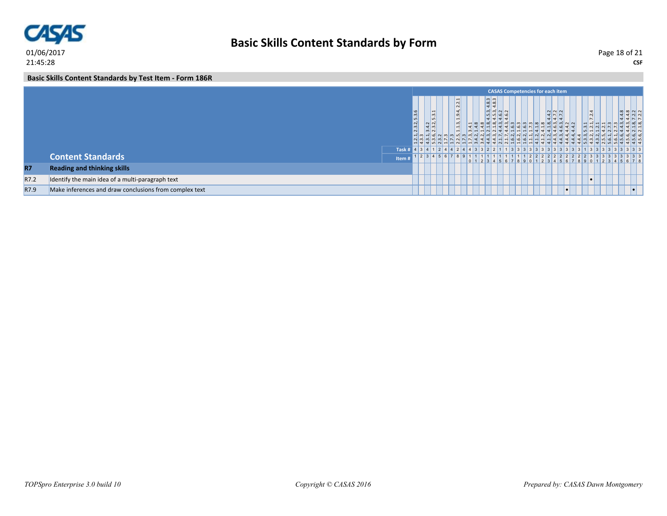

**CSF** Page 18 of 21

**Basic Skills Content Standards by Test Item - Form 186R**

|           |                                                        |             |                   |                                                      |                                                                                    |  |                                                                |                              |  | <b>CASAS Competencies for each item</b> |                                  |           |                       |  |                                                                                                                                                                                                                                                                                                                                                              |
|-----------|--------------------------------------------------------|-------------|-------------------|------------------------------------------------------|------------------------------------------------------------------------------------|--|----------------------------------------------------------------|------------------------------|--|-----------------------------------------|----------------------------------|-----------|-----------------------|--|--------------------------------------------------------------------------------------------------------------------------------------------------------------------------------------------------------------------------------------------------------------------------------------------------------------------------------------------------------------|
|           |                                                        |             | $\omega$<br>2.3.2 | $\sim$<br>∣ທ∣<br>N <sub>N</sub><br>$\frac{3.4}{2.3}$ | انہ ا<br>. .<br>$\overline{N}$<br>$\mathbf{d}$<br>l on<br>$\sim$<br>$\overline{ }$ |  | $4.\overline{8}.\overline{3}$<br>$4.\overline{8}.\overline{3}$ | $  \omega  $ سا سا سا<br>n n |  | 김김축축님님일일들로부분을할수                         | $4.3$<br>$4.7$<br>$7.2$<br>$4.7$ |           | ₹<br>$\sim$<br>$\sim$ |  | $44.8$<br>$44.3$<br>$7.2.2$<br>$\begin{array}{c} 13 & 14 & 14 \\ 14 & 14 & 14 \\ 15 & 15 & 14 \\ 16 & 16 & 15 \\ 17 & 18 & 16 \\ 18 & 19 & 19 & 11 \\ 19 & 19 & 19 & 11 \\ 10 & 19 & 19 & 11 \\ 11 & 10 & 19 & 11 \\ 13 & 10 & 10 & 11 \\ 16 & 10 & 10 & 11 \\ 19 & 10 & 10 & 11 \\ 10 & 10 & 10 & 11 \\ 11 & 10 & 10 & 11 \\ 12 & 10 & $<br>  ശ്] ശ്] ശ്] പ |
|           |                                                        | <b>Task</b> |                   |                                                      |                                                                                    |  |                                                                |                              |  |                                         |                                  |           |                       |  |                                                                                                                                                                                                                                                                                                                                                              |
|           | <b>Content Standards</b>                               | Item        |                   | 1 2 3 4 5 6 7 8 9                                    |                                                                                    |  |                                                                |                              |  |                                         |                                  |           |                       |  | 3333<br>$2$ 3 4 5 6 7 8 9 0 1 2 3 4 5 6 7 8                                                                                                                                                                                                                                                                                                                  |
| <b>R7</b> | <b>Reading and thinking skills</b>                     |             |                   |                                                      |                                                                                    |  |                                                                |                              |  |                                         |                                  |           |                       |  |                                                                                                                                                                                                                                                                                                                                                              |
| R7.2      | Identify the main idea of a multi-paragraph text       |             |                   |                                                      |                                                                                    |  |                                                                |                              |  |                                         |                                  |           |                       |  |                                                                                                                                                                                                                                                                                                                                                              |
| R7.9      | Make inferences and draw conclusions from complex text |             |                   |                                                      |                                                                                    |  |                                                                |                              |  |                                         |                                  | $\bullet$ |                       |  | $\bullet$ $\vdash$                                                                                                                                                                                                                                                                                                                                           |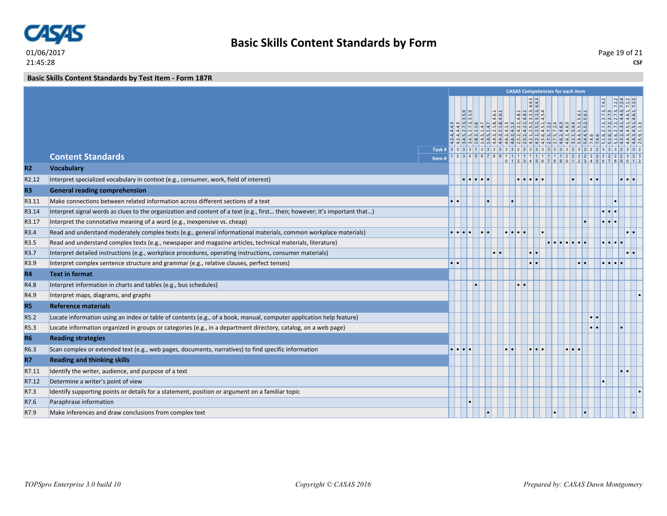

**Basic Skills Content Standards by Test Item - Form 187R**

|                   |                                                                                                                            |       |  |    |  | <b>CASAS Competencies for each item</b>         |                       |  |                         |                  |                                                                                                                                                                                                                      |  |
|-------------------|----------------------------------------------------------------------------------------------------------------------------|-------|--|----|--|-------------------------------------------------|-----------------------|--|-------------------------|------------------|----------------------------------------------------------------------------------------------------------------------------------------------------------------------------------------------------------------------|--|
|                   |                                                                                                                            |       |  |    |  | ण ण न न न न न न न न जाण न न न न जाण न न जाण ण प | $\frac{4.4.3}{4.4.3}$ |  |                         |                  | $1,2,4,4,3\n1,2,4,3,3,5,9\n1,4,5,1,7,3,2,1,8,4,6,1\n1,8,2,1,1,6\n1,4,5,1,4,7\n1,4,5,1,4,7\n1,6,2,4,1,3\n1,6,2,4,1,3\n1,6,2,4,1,3,2,1,4,5,1\n1,6,2,4,1,3,4,1,4,1,2,5,2,3,2,3,4,5\n1,6,2,4,1,3,2,1,4,5,1,4,5,2,3,3,4,$ |  |
|                   | <b>Content Standards</b>                                                                                                   |       |  |    |  |                                                 |                       |  |                         |                  |                                                                                                                                                                                                                      |  |
| R2                |                                                                                                                            | Item# |  |    |  |                                                 |                       |  |                         |                  |                                                                                                                                                                                                                      |  |
| R <sub>2.12</sub> | <b>Vocabulary</b>                                                                                                          |       |  |    |  |                                                 |                       |  |                         | $\cdot$ $\cdot$  |                                                                                                                                                                                                                      |  |
|                   | Interpret specialized vocabulary in context (e.g., consumer, work, field of interest)                                      |       |  |    |  |                                                 |                       |  |                         |                  |                                                                                                                                                                                                                      |  |
| R <sub>3</sub>    | <b>General reading comprehension</b>                                                                                       |       |  |    |  |                                                 |                       |  |                         |                  |                                                                                                                                                                                                                      |  |
| R3.11             | Make connections between related information across different sections of a text                                           |       |  |    |  |                                                 |                       |  |                         |                  |                                                                                                                                                                                                                      |  |
| R3.14             | Interpret signal words as clues to the organization and content of a text (e.g., first then; however; it's important that) |       |  |    |  |                                                 |                       |  |                         |                  |                                                                                                                                                                                                                      |  |
| R3.17             | Interpret the connotative meaning of a word (e.g., inexpensive vs. cheap)                                                  |       |  | l. |  | $\bullet\bullet\bullet$                         |                       |  |                         |                  |                                                                                                                                                                                                                      |  |
| R3.4              | Read and understand moderately complex texts (e.g., general informational materials, common workplace materials)           |       |  |    |  |                                                 |                       |  |                         |                  |                                                                                                                                                                                                                      |  |
| R3.5              | Read and understand complex texts (e.g., newspaper and magazine articles, technical materials, literature)                 |       |  |    |  |                                                 |                       |  |                         |                  |                                                                                                                                                                                                                      |  |
| R3.7              | Interpret detailed instructions (e.g., workplace procedures, operating instructions, consumer materials)                   |       |  |    |  |                                                 |                       |  |                         |                  |                                                                                                                                                                                                                      |  |
| R3.9              | Interpret complex sentence structure and grammar (e.g., relative clauses, perfect tenses)                                  |       |  |    |  |                                                 |                       |  |                         |                  | $\bullet\,\vert\,\bullet$                                                                                                                                                                                            |  |
| <b>R4</b>         | <b>Text in format</b>                                                                                                      |       |  |    |  |                                                 |                       |  |                         |                  |                                                                                                                                                                                                                      |  |
| R4.8              | Interpret information in charts and tables (e.g., bus schedules)                                                           |       |  |    |  |                                                 |                       |  |                         |                  |                                                                                                                                                                                                                      |  |
| R4.9              | Interpret maps, diagrams, and graphs                                                                                       |       |  |    |  |                                                 |                       |  |                         |                  |                                                                                                                                                                                                                      |  |
| R <sub>5</sub>    | <b>Reference materials</b>                                                                                                 |       |  |    |  |                                                 |                       |  |                         |                  |                                                                                                                                                                                                                      |  |
| R5.2              | Locate information using an index or table of contents (e.g., of a book, manual, computer application help feature)        |       |  |    |  |                                                 |                       |  |                         | $\cdot$ $\cdot$  |                                                                                                                                                                                                                      |  |
| R5.3              | Locate information organized in groups or categories (e.g., in a department directory, catalog, on a web page)             |       |  |    |  |                                                 |                       |  |                         | $\bullet\bullet$ |                                                                                                                                                                                                                      |  |
| <b>R6</b>         | <b>Reading strategies</b>                                                                                                  |       |  |    |  |                                                 |                       |  |                         |                  |                                                                                                                                                                                                                      |  |
| R6.3              | Scan complex or extended text (e.g., web pages, documents, narratives) to find specific information                        |       |  |    |  |                                                 |                       |  | $  \bullet   \bullet  $ |                  |                                                                                                                                                                                                                      |  |
| R7                | <b>Reading and thinking skills</b>                                                                                         |       |  |    |  |                                                 |                       |  |                         |                  |                                                                                                                                                                                                                      |  |
| R7.11             | Identify the writer, audience, and purpose of a text                                                                       |       |  |    |  |                                                 |                       |  |                         |                  |                                                                                                                                                                                                                      |  |
| R7.12             | Determine a writer's point of view                                                                                         |       |  |    |  |                                                 |                       |  |                         |                  |                                                                                                                                                                                                                      |  |
| R7.3              | Identify supporting points or details for a statement, position or argument on a familiar topic                            |       |  |    |  |                                                 |                       |  |                         |                  |                                                                                                                                                                                                                      |  |
| R7.6              | Paraphrase information                                                                                                     |       |  |    |  |                                                 |                       |  |                         |                  |                                                                                                                                                                                                                      |  |
| R7.9              | Make inferences and draw conclusions from complex text                                                                     |       |  |    |  |                                                 |                       |  |                         |                  |                                                                                                                                                                                                                      |  |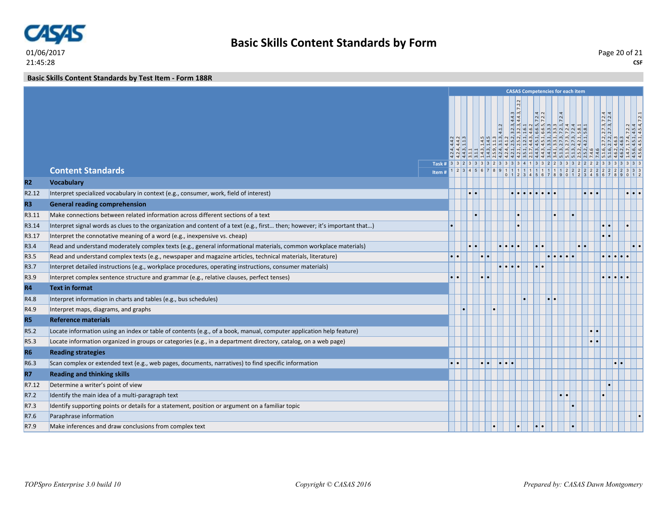

**CSF** Page 20 of 21

**Basic Skills Content Standards by Test Item - Form 188R**

|                   |                                                                                                                            |                                                              |                                           |                  |               |                         | <b>CASAS Competencies for each item</b>                                                                                                                                                                                                                                    |                  |                                   |  |                  |                                       |                                  |
|-------------------|----------------------------------------------------------------------------------------------------------------------------|--------------------------------------------------------------|-------------------------------------------|------------------|---------------|-------------------------|----------------------------------------------------------------------------------------------------------------------------------------------------------------------------------------------------------------------------------------------------------------------------|------------------|-----------------------------------|--|------------------|---------------------------------------|----------------------------------|
|                   |                                                                                                                            | Task # 3 3 2 3 3 3 3 2 3 3 3 3 4 1 3 3 2 2 3 3 3 2 2 2 3 3 3 | $\frac{4}{4}$ $\frac{4}{4}$ $\frac{1}{4}$ |                  |               |                         | $\frac{1}{7.2.2}$<br>$\begin{array}{ll} 3.11\\ 1.43, 1.45\\ 1.45, 1.43\\ 2.46, 1.13\\ 1.43, 1.43\\ 1.45, 1.13\\ 1.46, 1.1, 2.1\\ 1.42, 1.21, 2.12, 3.23, 4.43\\ 3.51, 1.21, 4.43, 46.2\\ 2.13, 2.13, 4.52\\ 2.13, 2.13, 4.52\\ 2.14, 3.46, 2.1\\ 3.41, 2.1, 2.1, 5.1\\ 3.$ |                  |                                   |  |                  | 2.7.3, 7.2.4<br>$\frac{2.7.2}{2.7.2}$ | $7.2.2$<br>4.5.4<br>4.5.4, 7.2.1 |
|                   | <b>Content Standards</b>                                                                                                   | Item#                                                        | $1 \mid 2 \mid 3 \mid$                    |                  |               |                         | 9 1 1 1 1 1 1 1 1 1 1 2<br>0 1 2 3 4 5 6 7 8 9 0 1 2 3 4                                                                                                                                                                                                                   |                  |                                   |  |                  |                                       |                                  |
| R2                | <b>Vocabulary</b>                                                                                                          |                                                              |                                           |                  |               |                         |                                                                                                                                                                                                                                                                            |                  |                                   |  |                  |                                       |                                  |
| R <sub>2.12</sub> | Interpret specialized vocabulary in context (e.g., consumer, work, field of interest)                                      |                                                              |                                           | $\bullet\bullet$ |               |                         |                                                                                                                                                                                                                                                                            |                  |                                   |  |                  |                                       | $\cdot \cdot \cdot$              |
| R <sub>3</sub>    | <b>General reading comprehension</b>                                                                                       |                                                              |                                           |                  |               |                         |                                                                                                                                                                                                                                                                            |                  |                                   |  |                  |                                       |                                  |
| R3.11             | Make connections between related information across different sections of a text                                           |                                                              |                                           |                  |               |                         |                                                                                                                                                                                                                                                                            |                  |                                   |  |                  |                                       |                                  |
| R3.14             | Interpret signal words as clues to the organization and content of a text (e.g., first then; however; it's important that) |                                                              |                                           |                  |               |                         |                                                                                                                                                                                                                                                                            |                  |                                   |  |                  |                                       |                                  |
| R3.17             | Interpret the connotative meaning of a word (e.g., inexpensive vs. cheap)                                                  |                                                              |                                           |                  |               |                         |                                                                                                                                                                                                                                                                            |                  |                                   |  |                  |                                       |                                  |
| R3.4              | Read and understand moderately complex texts (e.g., general informational materials, common workplace materials)           |                                                              |                                           |                  |               |                         |                                                                                                                                                                                                                                                                            |                  |                                   |  |                  |                                       |                                  |
| R <sub>3.5</sub>  | Read and understand complex texts (e.g., newspaper and magazine articles, technical materials, literature)                 |                                                              | $\bullet\bullet$                          |                  | $  \bullet  $ |                         |                                                                                                                                                                                                                                                                            |                  | $\bullet \bullet \bullet \bullet$ |  |                  |                                       |                                  |
| R3.7              | Interpret detailed instructions (e.g., workplace procedures, operating instructions, consumer materials)                   |                                                              |                                           |                  |               | $  \bullet   \bullet  $ |                                                                                                                                                                                                                                                                            | $\bullet\bullet$ |                                   |  |                  |                                       |                                  |
| R3.9              | Interpret complex sentence structure and grammar (e.g., relative clauses, perfect tenses)                                  |                                                              |                                           |                  |               |                         |                                                                                                                                                                                                                                                                            |                  |                                   |  |                  |                                       |                                  |
| <b>R4</b>         | <b>Text in format</b>                                                                                                      |                                                              |                                           |                  |               |                         |                                                                                                                                                                                                                                                                            |                  |                                   |  |                  |                                       |                                  |
| R4.8              | Interpret information in charts and tables (e.g., bus schedules)                                                           |                                                              |                                           |                  |               |                         |                                                                                                                                                                                                                                                                            | $\bullet$        |                                   |  |                  |                                       |                                  |
| R4.9              | Interpret maps, diagrams, and graphs                                                                                       |                                                              |                                           |                  |               |                         |                                                                                                                                                                                                                                                                            |                  |                                   |  |                  |                                       |                                  |
| <b>R5</b>         | <b>Reference materials</b>                                                                                                 |                                                              |                                           |                  |               |                         |                                                                                                                                                                                                                                                                            |                  |                                   |  |                  |                                       |                                  |
| R5.2              | Locate information using an index or table of contents (e.g., of a book, manual, computer application help feature)        |                                                              |                                           |                  |               |                         |                                                                                                                                                                                                                                                                            |                  |                                   |  | $\bullet\bullet$ |                                       |                                  |
| R <sub>5.3</sub>  | Locate information organized in groups or categories (e.g., in a department directory, catalog, on a web page)             |                                                              |                                           |                  |               |                         |                                                                                                                                                                                                                                                                            |                  |                                   |  |                  |                                       |                                  |
| <b>R6</b>         | <b>Reading strategies</b>                                                                                                  |                                                              |                                           |                  |               |                         |                                                                                                                                                                                                                                                                            |                  |                                   |  |                  |                                       |                                  |
| R6.3              | Scan complex or extended text (e.g., web pages, documents, narratives) to find specific information                        |                                                              | $\bullet\bullet$                          |                  |               | I۰.                     |                                                                                                                                                                                                                                                                            |                  |                                   |  |                  | $\bullet$                             |                                  |
| <b>R7</b>         | <b>Reading and thinking skills</b>                                                                                         |                                                              |                                           |                  |               |                         |                                                                                                                                                                                                                                                                            |                  |                                   |  |                  |                                       |                                  |
| R7.12             | Determine a writer's point of view                                                                                         |                                                              |                                           |                  |               |                         |                                                                                                                                                                                                                                                                            |                  |                                   |  |                  |                                       |                                  |
| R7.2              | Identify the main idea of a multi-paragraph text                                                                           |                                                              |                                           |                  |               |                         |                                                                                                                                                                                                                                                                            |                  |                                   |  |                  |                                       |                                  |
| R7.3              | Identify supporting points or details for a statement, position or argument on a familiar topic                            |                                                              |                                           |                  |               |                         |                                                                                                                                                                                                                                                                            |                  |                                   |  |                  |                                       |                                  |
| R7.6              | Paraphrase information                                                                                                     |                                                              |                                           |                  |               |                         |                                                                                                                                                                                                                                                                            |                  |                                   |  |                  |                                       |                                  |
| R7.9              | Make inferences and draw conclusions from complex text                                                                     |                                                              |                                           |                  |               |                         | $\bullet$                                                                                                                                                                                                                                                                  | $\bullet\bullet$ |                                   |  |                  |                                       |                                  |